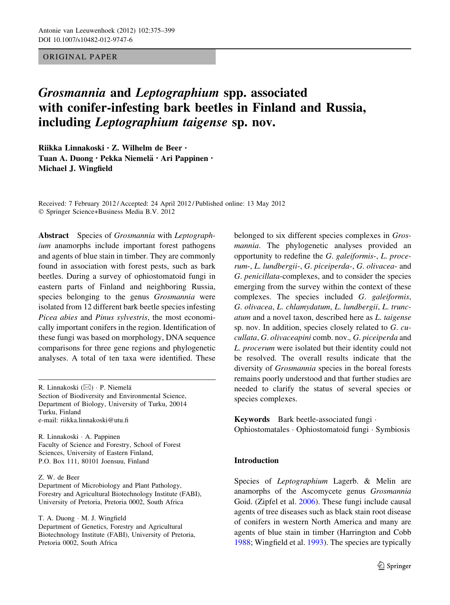# ORIGINAL PAPER

# Grosmannia and Leptographium spp. associated with conifer-infesting bark beetles in Finland and Russia, including Leptographium taigense sp. nov.

Riikka Linnakoski • Z. Wilhelm de Beer • Tuan A. Duong · Pekka Niemelä · Ari Pappinen · Michael J. Wingfield

Received: 7 February 2012 / Accepted: 24 April 2012 / Published online: 13 May 2012 © Springer Science+Business Media B.V. 2012

Abstract Species of Grosmannia with Leptographium anamorphs include important forest pathogens and agents of blue stain in timber. They are commonly found in association with forest pests, such as bark beetles. During a survey of ophiostomatoid fungi in eastern parts of Finland and neighboring Russia, species belonging to the genus Grosmannia were isolated from 12 different bark beetle species infesting Picea abies and Pinus sylvestris, the most economically important conifers in the region. Identification of these fungi was based on morphology, DNA sequence comparisons for three gene regions and phylogenetic analyses. A total of ten taxa were identified. These

R. Linnakoski (⊠) · P. Niemelä Section of Biodiversity and Environmental Science, Department of Biology, University of Turku, 20014 Turku, Finland e-mail: riikka.linnakoski@utu.fi

R. Linnakoski - A. Pappinen Faculty of Science and Forestry, School of Forest Sciences, University of Eastern Finland, P.O. Box 111, 80101 Joensuu, Finland

Z. W. de Beer

Department of Microbiology and Plant Pathology, Forestry and Agricultural Biotechnology Institute (FABI), University of Pretoria, Pretoria 0002, South Africa

T. A. Duong - M. J. Wingfield Department of Genetics, Forestry and Agricultural Biotechnology Institute (FABI), University of Pretoria, Pretoria 0002, South Africa

belonged to six different species complexes in Grosmannia. The phylogenetic analyses provided an opportunity to redefine the G. galeiformis-, L. procerum-, L. lundbergii-, G. piceiperda-, G. olivacea- and G. penicillata-complexes, and to consider the species emerging from the survey within the context of these complexes. The species included G. galeiformis, G. olivacea, L. chlamydatum, L. lundbergii, L. truncatum and a novel taxon, described here as L. taigense sp. nov. In addition, species closely related to G. cucullata, G. olivaceapini comb. nov., G. piceiperda and L. procerum were isolated but their identity could not be resolved. The overall results indicate that the diversity of Grosmannia species in the boreal forests remains poorly understood and that further studies are needed to clarify the status of several species or species complexes.

Keywords Bark beetle-associated fungi - Ophiostomatales - Ophiostomatoid fungi - Symbiosis

# Introduction

Species of Leptographium Lagerb. & Melin are anamorphs of the Ascomycete genus Grosmannia Goid. (Zipfel et al. [2006\)](#page-24-0). These fungi include causal agents of tree diseases such as black stain root disease of conifers in western North America and many are agents of blue stain in timber (Harrington and Cobb [1988;](#page-21-0) Wingfield et al. [1993\)](#page-24-0). The species are typically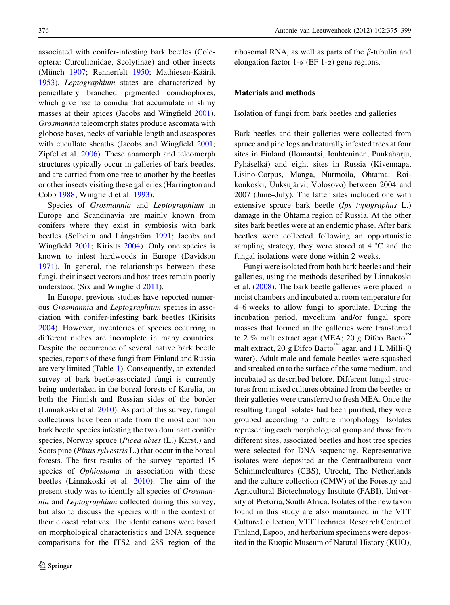associated with conifer-infesting bark beetles (Coleoptera: Curculionidae, Scolytinae) and other insects (Münch [1907](#page-22-0); Rennerfelt [1950](#page-23-0); Mathiesen-Käärik [1953\)](#page-22-0). Leptographium states are characterized by penicillately branched pigmented conidiophores, which give rise to conidia that accumulate in slimy masses at their apices (Jacobs and Wingfield [2001](#page-21-0)). Grosmannia teleomorph states produce ascomata with globose bases, necks of variable length and ascospores with cucullate sheaths (Jacobs and Wingfield [2001](#page-21-0); Zipfel et al. [2006\)](#page-24-0). These anamorph and teleomorph structures typically occur in galleries of bark beetles, and are carried from one tree to another by the beetles or other insects visiting these galleries (Harrington and Cobb [1988](#page-21-0); Wingfield et al. [1993](#page-24-0)).

Species of Grosmannia and Leptographium in Europe and Scandinavia are mainly known from conifers where they exist in symbiosis with bark beetles (Solheim and Långström [1991;](#page-23-0) Jacobs and Wingfield [2001;](#page-21-0) Kirisits [2004\)](#page-22-0). Only one species is known to infest hardwoods in Europe (Davidson [1971\)](#page-20-0). In general, the relationships between these fungi, their insect vectors and host trees remain poorly understood (Six and Wingfield [2011](#page-23-0)).

In Europe, previous studies have reported numerous Grosmannia and Leptographium species in association with conifer-infesting bark beetles (Kirisits [2004\)](#page-22-0). However, inventories of species occurring in different niches are incomplete in many countries. Despite the occurrence of several native bark beetle species, reports of these fungi from Finland and Russia are very limited (Table [1](#page-2-0)). Consequently, an extended survey of bark beetle-associated fungi is currently being undertaken in the boreal forests of Karelia, on both the Finnish and Russian sides of the border (Linnakoski et al. [2010\)](#page-22-0). As part of this survey, fungal collections have been made from the most common bark beetle species infesting the two dominant conifer species, Norway spruce (Picea abies (L.) Karst.) and Scots pine (Pinus sylvestris L.) that occur in the boreal forests. The first results of the survey reported 15 species of *Ophiostoma* in association with these beetles (Linnakoski et al. [2010\)](#page-22-0). The aim of the present study was to identify all species of Grosmannia and Leptographium collected during this survey, but also to discuss the species within the context of their closest relatives. The identifications were based on morphological characteristics and DNA sequence comparisons for the ITS2 and 28S region of the ribosomal RNA, as well as parts of the  $\beta$ -tubulin and elongation factor 1- $\alpha$  (EF 1- $\alpha$ ) gene regions.

## Materials and methods

Isolation of fungi from bark beetles and galleries

Bark beetles and their galleries were collected from spruce and pine logs and naturally infested trees at four sites in Finland (Ilomantsi, Jouhteninen, Punkaharju, Pyhäselkä) and eight sites in Russia (Kivennapa, Lisino-Corpus, Manga, Nurmoila, Ohtama, Roikonkoski, Uuksujärvi, Volosovo) between 2004 and 2007 (June–July). The latter sites included one with extensive spruce bark beetle (Ips typographus L.) damage in the Ohtama region of Russia. At the other sites bark beetles were at an endemic phase. After bark beetles were collected following an opportunistic sampling strategy, they were stored at  $4^{\circ}$ C and the fungal isolations were done within 2 weeks.

Fungi were isolated from both bark beetles and their galleries, using the methods described by Linnakoski et al. ([2008\)](#page-22-0). The bark beetle galleries were placed in moist chambers and incubated at room temperature for 4–6 weeks to allow fungi to sporulate. During the incubation period, mycelium and/or fungal spore masses that formed in the galleries were transferred to 2 % malt extract agar (MEA; 20 g Difco Bacto $\overline{\phantom{a}}^{1M}$ malt extract, 20 g Difco Bacto<sup> $M_{\text{max}}$ </sup> agar, and 1 L Milli-Q water). Adult male and female beetles were squashed and streaked on to the surface of the same medium, and incubated as described before. Different fungal structures from mixed cultures obtained from the beetles or their galleries were transferred to fresh MEA. Once the resulting fungal isolates had been purified, they were grouped according to culture morphology. Isolates representing each morphological group and those from different sites, associated beetles and host tree species were selected for DNA sequencing. Representative isolates were deposited at the Centraalbureau voor Schimmelcultures (CBS), Utrecht, The Netherlands and the culture collection (CMW) of the Forestry and Agricultural Biotechnology Institute (FABI), University of Pretoria, South Africa. Isolates of the new taxon found in this study are also maintained in the VTT Culture Collection, VTT Technical Research Centre of Finland, Espoo, and herbarium specimens were deposited in the Kuopio Museum of Natural History (KUO),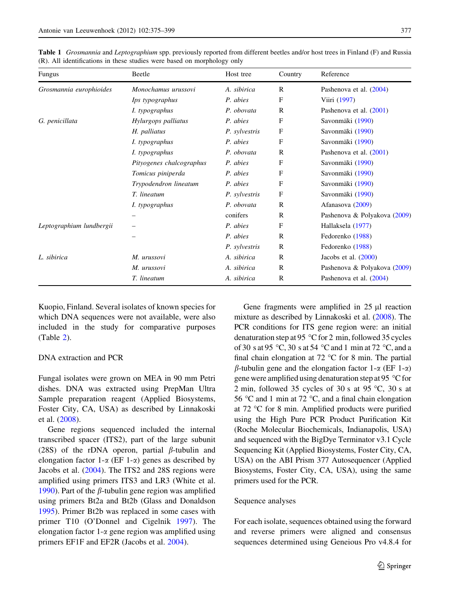| Fungus                   | Beetle                   | Host tree     | Country      | Reference                    |  |  |  |  |
|--------------------------|--------------------------|---------------|--------------|------------------------------|--|--|--|--|
| Grosmannia europhioides  | Monochamus urussovi      | A. sibirica   | $\mathbb{R}$ | Pashenova et al. (2004)      |  |  |  |  |
|                          | <i>Ips</i> typographus   | P. abies      | F            | Viiri (1997)                 |  |  |  |  |
|                          | I. typographus           | P. obovata    | $\mathbb{R}$ | Pashenova et al. (2001)      |  |  |  |  |
| G. penicillata           | Hylurgops palliatus      | P. abies      | F            | Savonmäki (1990)             |  |  |  |  |
|                          | H. palliatus             | P. sylvestris | F            | Savonmäki (1990)             |  |  |  |  |
|                          | I. typographus           | P. abies      | F            | Savonmäki (1990)             |  |  |  |  |
|                          | I. typographus           | P. obovata    | R            | Pashenova et al. (2001)      |  |  |  |  |
|                          | Pityogenes chalcographus | P. abies      | F            | Savonmäki (1990)             |  |  |  |  |
|                          | Tomicus piniperda        | P. abies      | F            | Savonmäki (1990)             |  |  |  |  |
|                          | Trypodendron lineatum    | P. abies      | F            | Savonmäki (1990)             |  |  |  |  |
|                          | T. lineatum              | P. sylvestris | F            | Savonmäki (1990)             |  |  |  |  |
|                          | I. typographus           | P. obovata    | R            | Afanasova (2009)             |  |  |  |  |
|                          |                          | conifers      | $\mathbb{R}$ | Pashenova & Polyakova (2009) |  |  |  |  |
| Leptographium lundbergii |                          | P. abies      | F            | Hallaksela (1977)            |  |  |  |  |
|                          | -                        | P. abies      | $\mathbb{R}$ | Fedorenko (1988)             |  |  |  |  |
|                          |                          | P. sylvestris | $\mathbb{R}$ | Fedorenko (1988)             |  |  |  |  |
| L. sibirica              | M. urussovi              | A. sibirica   | R            | Jacobs et al. $(2000)$       |  |  |  |  |
|                          | M. urussovi              | A. sibirica   | R            | Pashenova & Polyakova (2009) |  |  |  |  |
|                          | T. lineatum              | A. sibirica   | $\mathbb{R}$ | Pashenova et al. (2004)      |  |  |  |  |

<span id="page-2-0"></span>Table 1 Grosmannia and Leptographium spp. previously reported from different beetles and/or host trees in Finland (F) and Russia (R). All identifications in these studies were based on morphology only

Kuopio, Finland. Several isolates of known species for which DNA sequences were not available, were also included in the study for comparative purposes (Table [2](#page-3-0)).

# DNA extraction and PCR

Fungal isolates were grown on MEA in 90 mm Petri dishes. DNA was extracted using PrepMan Ultra Sample preparation reagent (Applied Biosystems, Foster City, CA, USA) as described by Linnakoski et al. ([2008\)](#page-22-0).

Gene regions sequenced included the internal transcribed spacer (ITS2), part of the large subunit (28S) of the rDNA operon, partial  $\beta$ -tubulin and elongation factor 1- $\alpha$  (EF 1- $\alpha$ ) genes as described by Jacobs et al. [\(2004](#page-21-0)). The ITS2 and 28S regions were amplified using primers ITS3 and LR3 (White et al. [1990\)](#page-23-0). Part of the  $\beta$ -tubulin gene region was amplified using primers Bt2a and Bt2b (Glass and Donaldson [1995\)](#page-21-0). Primer Bt2b was replaced in some cases with primer T10 (O'Donnel and Cigelnik [1997](#page-22-0)). The elongation factor  $1-\alpha$  gene region was amplified using primers EF1F and EF2R (Jacobs et al. [2004\)](#page-21-0).

Gene fragments were amplified in  $25 \mu$  reaction mixture as described by Linnakoski et al. ([2008](#page-22-0)). The PCR conditions for ITS gene region were: an initial denaturation step at 95  $\degree$ C for 2 min, followed 35 cycles of 30 s at 95 °C, 30 s at 54 °C and 1 min at 72 °C, and a final chain elongation at  $72 \text{ °C}$  for 8 min. The partial  $\beta$ -tubulin gene and the elongation factor 1- $\alpha$  (EF 1- $\alpha$ ) gene were amplified using denaturation step at 95  $\degree$ C for 2 min, followed 35 cycles of 30 s at 95  $\degree$ C, 30 s at 56 °C and 1 min at 72 °C, and a final chain elongation at  $72 \degree$ C for 8 min. Amplified products were purified using the High Pure PCR Product Purification Kit (Roche Molecular Biochemicals, Indianapolis, USA) and sequenced with the BigDye Terminator v3.1 Cycle Sequencing Kit (Applied Biosystems, Foster City, CA, USA) on the ABI Prism 377 Autosequencer (Applied Biosystems, Foster City, CA, USA), using the same primers used for the PCR.

#### Sequence analyses

For each isolate, sequences obtained using the forward and reverse primers were aligned and consensus sequences determined using Geneious Pro v4.8.4 for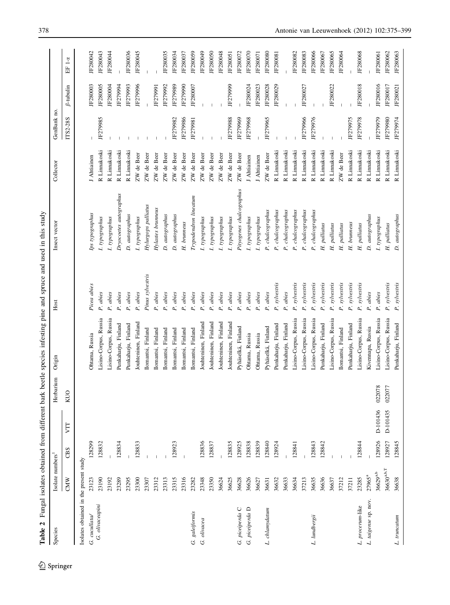<span id="page-3-0"></span>

| Species                                | Isolate numbers <sup>1</sup> |        |            | Herbarium  | Origin                | Host             | Insect vector            | Collector      | GenBank no.     |                  |                 |
|----------------------------------------|------------------------------|--------|------------|------------|-----------------------|------------------|--------------------------|----------------|-----------------|------------------|-----------------|
|                                        | <b>CMW</b>                   | CBS    | УTТ        | <b>KUO</b> |                       |                  |                          |                | ITS2-28S        | $\beta$ -tubulin | EF 1- $\alpha$  |
| Isolates obtained in the present study |                              |        |            |            |                       |                  |                          |                |                 |                  |                 |
| G. cucullata/                          | 23123                        | 128299 |            |            | Ohtama, Russia        | Picea abies      | ps typographus           | J Ahtiainen    |                 | <b>IF280003</b>  | JF280042        |
| G. olivaceapini                        | 23190                        | 128832 |            |            | Lisino-Corpus, Russia | P. abies         | I. typographus           | R Linnakoski   | JF279985        | JF280005         | IF280043        |
|                                        | 23192                        |        |            |            | Lisino-Corpus, Russia | P. abies         | I. typographus           | R Linnakoski   |                 | IF280004         | IF280044        |
|                                        | 23289                        | 128834 |            |            | Punkaharju, Finland   | P. abies         | Dryocoetes autographus   | R Linnakoski   |                 | IF279994         |                 |
|                                        | 23295                        |        |            |            | Punkaharju, Finland   | P. abies         | D. autographus           | R Linnakoski   |                 | IF279993         | JF280036        |
|                                        | 23300                        | 128833 |            |            | Jouhteninen, Finland  | P. abies         | smdbu8odG.               | ZW de Beer     |                 | JF279996         | JF280045        |
|                                        | 23307                        |        |            |            | Ilomantsi, Finland    | Pinus sylvestris | Hylurgops palliatus      | ZW de Beer     |                 |                  |                 |
|                                        | 23312                        |        |            |            | Ilomantsi, Finland    | P. abies         | Hylastes brunneus        | ZW de Beer     |                 | JF279991         |                 |
|                                        | 23313                        |        |            |            | Ilomantsi, Finland    | P. abies         | D. autographus           | ZW de Beer     |                 | JF279992         | JF280035        |
|                                        | 23315                        | 128923 |            |            | Ilomantsi, Finland    | P. abies         | D. autographus           | ZW de Beer     | JF279982        | JF279989         | JF280034        |
|                                        | 23316                        |        |            |            | Ilomantsi, Finland    | P. abies         | H. brunneus              | ZW de Beer     | JF279986        | JF279990         | IF280037        |
| G. galeifornis                         | 23282                        |        |            |            | Ilomantsi, Finland    | P. abies         | Trypodendron lineatum    | ZW de Beer     | JF279981        | JF280007         | IF280059        |
| G. olivacea                            | 23348                        | 128836 |            |            | Jouhteninen, Finland  | P. abies         | I. typographus           | ZW de Beer     |                 |                  | IF280049        |
|                                        | 23350                        | 128837 |            |            | Jouhteninen, Finland  | P. abies         | smqtp.dod.com            | ZW de Beer     |                 |                  | JF280050        |
|                                        | 36624                        |        |            |            | Jouhteninen, Finland  | P. abies         | 1. typographus           | ZW de Beer     |                 |                  | IF280048        |
|                                        | 36625                        | 128835 |            |            | Jouhteninen, Finland  | P. abies         | 1. typographus           | ZW de Beer     | <b>IF279988</b> | JF279999         | JF280051        |
| G. piceiperda C                        | 36628                        | 128925 |            |            | Pyhäselkä, Finland    | P. abies         | Pityogenes chalcographus | ZW de Beer     | JF279969        |                  | <b>F280072</b>  |
| G. piceiperda D                        | 36626                        | 128838 |            |            | Ohtama, Russia        | P. abies         | I. typographus           | J<br>Ahtiainen | JF279968        | JF280024         | <b>IF280070</b> |
|                                        | 36627                        | 128839 |            |            | Ohtama, Russia        | P. abies         | I. typographus           | Ahtiainen      |                 | JF280023         | IF280071        |
| L. chlamydatum                         | 36631                        | 128840 |            |            | Pyhäselkä, Finland    | P. abies         | P. chalcographus         | ZW de Beer     | JF279965        | JF280028         | <b>F280080</b>  |
|                                        | 36632                        | 128924 |            |            | Punkaharju, Finland   | P. sylvestris    | P. chalcographus         | R Linnakoski   |                 | JF280029         | IF280081        |
|                                        | 36633                        |        |            |            | Punkaharju, Finland   | P. abies         | P. chalcographus         | R Linnakoski   |                 |                  |                 |
|                                        | 36634                        | 128841 |            |            | Lisino-Corpus, Russia | P. sylvestris    | P. chalcographus         | R Linnakoski   |                 |                  | F280082         |
|                                        | 37213                        |        |            |            | Lisino-Corpus, Russia | P. sylvestris    | P. chalcographus         | R Linnakoski   | JF279966        | JF280027         | <b>IF280083</b> |
| L. lundbergii                          | 36635                        | 128843 |            |            | Lisino-Corpus, Russia | P. sylvestris    | P. chalcographus         | R Linnakoski   | JF279976        |                  | F280066         |
|                                        | 36636                        | 128842 |            |            | Punkaharju, Finland   | P. sylvestris    | H. palliatus             | R Linnakoski   |                 |                  | IF280067        |
|                                        | 36637                        |        |            |            | Lisino-Corpus, Russia | P. sylvestris    | H. palliatus             | R Linnakoski   |                 | JF280022         | JF280065        |
|                                        | 37212                        |        |            |            | Ilomantsi, Finland    | P. sylvestris    | H. palliatus             | ZW de Beer     |                 |                  | IF280064        |
|                                        | 37211                        |        |            |            | Punkaharju, Finland   | P. sylvestris    | $H.$ brunneus            | R Linnakoski   | JF279975        |                  |                 |
| L. procerum-like                       | 23285                        | 128844 |            |            | Lisino-Corpus, Russia | P. sylvestris    | H. palliatus             | R Linnakoski   | JF279978        | JF280018         | JF280068        |
| L. taigense sp. nov.                   | 27965 <sup>a</sup>           |        |            |            | Kivennapa, Russia     | P. abies         | D. autographus           | R Linnakoski   |                 |                  |                 |
|                                        | 36629 <sup>ab</sup>          | 128926 | $D-101436$ | 022078     | Lisino-Corpus, Russia | P. abies         | I. typographus           | R Linnakoski   | JF279979        | JF280016         | JF280061        |
|                                        | $36630^{\mathrm{ab,T}}$      | 128927 | D-101435   | 022077     | Lisino-Corpus, Russia | P. sylvestris    | H. palliatus             | R Linnakoski   | IF279980        | JF280017         | F280062         |
| L. truncatum                           | 36638                        | 128845 |            |            | Punkaharju, Finland   | P. sylvestris    | D. autographus           | R Linnakoski   | JF279974        | JF280021         | JF280063        |

Table 2 Fungal isolates obtained from different bark beetle species infesting pine and spruce and used in this study Table 2 Fungal isolates obtained from different bark beetle species infesting pine and spruce and used in this study

 $\underline{\textcircled{\tiny 2}}$  Springer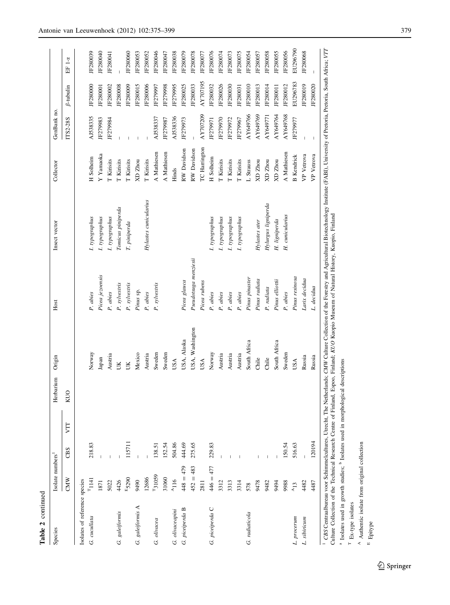| Species                                            | Isolate numbers <sup>1</sup> |        |     | Herbarium Origin |                 | Host                  | Insect vector                                                                                                                                                | Collector         | GenBank no.     |                  |                |
|----------------------------------------------------|------------------------------|--------|-----|------------------|-----------------|-----------------------|--------------------------------------------------------------------------------------------------------------------------------------------------------------|-------------------|-----------------|------------------|----------------|
|                                                    | <b>CMW</b>                   | CBS    | VTT | <b>KUO</b>       |                 |                       |                                                                                                                                                              |                   | <b>ITS2-28S</b> | $\beta$ -tubulin | EF 1- $\alpha$ |
| Isolates of reference species                      |                              |        |     |                  |                 |                       |                                                                                                                                                              |                   |                 |                  |                |
| G. cucullata                                       | 1141                         | 218.83 |     |                  | Norway          | P. abies              | I. typographus                                                                                                                                               | H Solheim         | AJ538335        | JF280000         | IF280039       |
|                                                    | 1871                         |        |     |                  | $_{\rm{Japan}}$ | Picea jezoensis       | t. typographus                                                                                                                                               | Y Yamaoka         | JF279983        | JF280001         | JF280040       |
|                                                    | 5022                         |        |     |                  | Austria         | P. abies              | I. typographus                                                                                                                                               | T Kirisits        | IF279984        | <b>IF280002</b>  | IF280041       |
| G. galeifornis                                     | 4426                         |        |     |                  | ŬК              | P. sylvestris         | Tomicus piniperda                                                                                                                                            | T Kirisits        |                 | <b>JF280008</b>  |                |
|                                                    | $E_{5290}$                   | 115711 |     |                  | ŠК              | P. sylvestris         | T. piniperda                                                                                                                                                 | T Kirisits        |                 | JF280009         | IF280060       |
| G. galeifornis A                                   | 9490                         |        |     |                  | Mexico          | Pinus sp.             |                                                                                                                                                              | XD Zhou           |                 | JF280015         | IF280053       |
|                                                    | 12686                        |        |     |                  | Austria         | P. abies              | Hylastes cunicularius                                                                                                                                        | T Kirisits        |                 | IF280006         | IF280052       |
| G. olivacea                                        | T31059                       | 138.51 |     |                  | Sweden          | P. sylvestris         |                                                                                                                                                              | A Mathiesen       | AJ538337        | JF279997         | IF280046       |
|                                                    | 31060                        | 152.54 |     |                  | Sweden          |                       |                                                                                                                                                              | A Mathiesen       | JF279987        | IF279998         | F280047        |
| G. olivaceapini                                    | $^{4}116$                    | 504.86 |     |                  | USA             |                       |                                                                                                                                                              | Hinds             | AJ538336        | JF279995         | F280038        |
| G. piceiperda B                                    | $448 = 479$                  | 44.69  |     |                  | USA, Alaska     | Picea glauca          |                                                                                                                                                              | RW Davidson       | JF279973        | JF280025         | IF280079       |
|                                                    | $452 = 483$                  | 275.65 |     |                  | USA, Washington | Pseudotsuga menziesii |                                                                                                                                                              | RW Davidson       |                 | JF280033         | IF280078       |
|                                                    | 2811                         |        |     |                  | USA             | Picea rubens          |                                                                                                                                                              | TC Harrington     | AY707209        | AY707195         | JF280077       |
| G. piceiperda C                                    | $446 = 477$                  | 229.83 |     |                  | Norway          | P. abies              | I. typographus                                                                                                                                               | H Solheim         | JF279971        | JF280032         | IF280076       |
|                                                    | 3312                         |        |     |                  | Austria         | P. abies              | l. typographus                                                                                                                                               | T Kirisits        | JF279970        | JF280026         | IF280074       |
|                                                    | 3313                         |        |     |                  | Austria         | P. abies              | I. typographus                                                                                                                                               | T Kirisits        | JF279972        | JF280030         | IF280073       |
|                                                    | 3314                         |        |     |                  | Austria         | P. abies              | I. typographus                                                                                                                                               | T Kirisits        | JF279967        | JF280031         | IF280075       |
| G. radiaticola                                     | 578                          |        |     |                  | South Africa    | Pinus pinaster        |                                                                                                                                                              | L Strauss         | AY649766        | JF280010         | IF280054       |
|                                                    | 9478                         |        |     |                  | Chile           | Pinus radiata         | Hylastes ater                                                                                                                                                | XD Zhou           | AY649769        | JF280013         | JF280057       |
|                                                    | 9482                         |        |     |                  | Chile           | P. radiata            | Hylurgus ligniperda                                                                                                                                          | XD Zhou           | AY649771        | JF280014         | IF280058       |
|                                                    | 9494                         |        |     |                  | South Africa    | Pinus elliottii       | H. ligniperda                                                                                                                                                | XD Zhou           | AY649764        | JF280011         | IF280055       |
|                                                    | 9988                         | 150.54 |     |                  | Sweden          | P. abies              | H. cunicularius                                                                                                                                              | A Mathiesen       | AY649768        | JF280012         | IF280056       |
| L. procerum                                        | $^{4}13$                     | 516.63 |     |                  | USA             | Pinus resinosa        |                                                                                                                                                              | <b>B</b> Kendrick | JF279977        | EU296783         | EU296790       |
| L. sibiricum                                       | 4482                         |        |     |                  | Russia          | Larix decidua         |                                                                                                                                                              | VP Vetrova        | $\mathbf{I}$    | JF280019         | JF280068       |
|                                                    | 4487                         | 120194 |     |                  | Russia          | L. decidua            |                                                                                                                                                              | VP Vetrova        |                 | JF280020         |                |
| CBS Centraalbureau voor Schimmelcultures, Utrecht, |                              |        |     |                  |                 |                       | The Netherlands; CMW Culture Collection of the Forestry and Agricultural Biotechnology Institute (FABI), University of Pretoria, Pretoria, South Africa; VTT |                   |                 |                  |                |

Conservation and the Technical Research Centre of Finland, Espoo, Finland; KUO Kuopio Museum of Natural History, Kuopio, Finland<br>Culture Collection of the Technical Research Centre of Finland, Espoo, Finland; KUO Kuopio Mu Culture Collection of the Technical Research Centre of Finland, Espoo, Finland; KUO Kuopio Museum of Natural History, Kuopio, Finland

<sup>a</sup> Isolates used in growth studies; <sup>b</sup> Isolates used in morphological descriptions <sup>a</sup> Isolates used in growth studies; <sup>b</sup> Isolates used in morphological descriptions

<sup>T</sup> Ex-type isolates Ex-type isolates

 $^{\rm A}$  Authentic isolate from original collection  $A$  Authentic isolate from original collection

E Epitype

Table 2 continued

Table 2 continued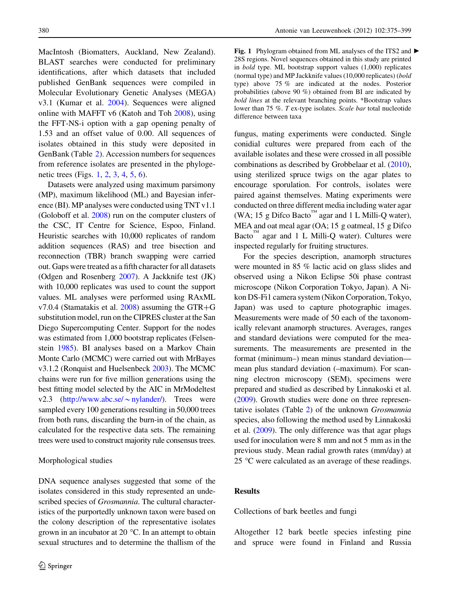<span id="page-5-0"></span>MacIntosh (Biomatters, Auckland, New Zealand). BLAST searches were conducted for preliminary identifications, after which datasets that included published GenBank sequences were compiled in Molecular Evolutionary Genetic Analyses (MEGA) v3.1 (Kumar et al. [2004](#page-22-0)). Sequences were aligned online with MAFFT v6 (Katoh and Toh [2008\)](#page-22-0), using the FFT-NS-i option with a gap opening penalty of 1.53 and an offset value of 0.00. All sequences of isolates obtained in this study were deposited in GenBank (Table [2\)](#page-3-0). Accession numbers for sequences from reference isolates are presented in the phylogenetic trees (Figs. 1, [2](#page-7-0), [3,](#page-8-0) [4,](#page-8-0) [5](#page-9-0), [6](#page-10-0)).

Datasets were analyzed using maximum parsimony (MP), maximum likelihood (ML) and Bayesian inference (BI). MP analyses were conducted using TNT v1.1 (Goloboff et al. [2008](#page-21-0)) run on the computer clusters of the CSC, IT Centre for Science, Espoo, Finland. Heuristic searches with 10,000 replicates of random addition sequences (RAS) and tree bisection and reconnection (TBR) branch swapping were carried out. Gaps were treated as a fifth character for all datasets (Odgen and Rosenberg [2007](#page-22-0)). A Jackknife test (JK) with 10,000 replicates was used to count the support values. ML analyses were performed using RAxML v7.0.4 (Stamatakis et al.  $2008$ ) assuming the GTR+G substitution model, run on the CIPRES cluster at the San Diego Supercomputing Center. Support for the nodes was estimated from 1,000 bootstrap replicates (Felsenstein [1985\)](#page-21-0). BI analyses based on a Markov Chain Monte Carlo (MCMC) were carried out with MrBayes v3.1.2 (Ronquist and Huelsenbeck [2003](#page-23-0)). The MCMC chains were run for five million generations using the best fitting model selected by the AIC in MrModeltest v2.3 [\(http://www.abc.se/](http://www.abc.se/~nylander/) $\sim$ nylander/). Trees were sampled every 100 generations resulting in 50,000 trees from both runs, discarding the burn-in of the chain, as calculated for the respective data sets. The remaining trees were used to construct majority rule consensus trees.

#### Morphological studies

DNA sequence analyses suggested that some of the isolates considered in this study represented an undescribed species of Grosmannia. The cultural characteristics of the purportedly unknown taxon were based on the colony description of the representative isolates grown in an incubator at 20 $\degree$ C. In an attempt to obtain sexual structures and to determine the thallism of the

Fig. 1 Phylogram obtained from ML analyses of the ITS2 and  $\blacktriangleright$ 28S regions. Novel sequences obtained in this study are printed in bold type. ML bootstrap support values (1,000) replicates (normal type) and MP Jackknife values (10,000 replicates) (bold type) above 75 % are indicated at the nodes. Posterior probabilities (above 90 %) obtained from BI are indicated by bold lines at the relevant branching points. \*Bootstrap values lower than 75 %. T ex-type isolates. Scale bar total nucleotide difference between taxa

fungus, mating experiments were conducted. Single conidial cultures were prepared from each of the available isolates and these were crossed in all possible combinations as described by Grobbelaar et al. [\(2010\)](#page-21-0), using sterilized spruce twigs on the agar plates to encourage sporulation. For controls, isolates were paired against themselves. Mating experiments were conducted on three different media including water agar (WA; 15 g Difco Bacto<sup> $M$ </sup> agar and 1 L Milli-Q water), MEA and oat meal agar (OA; 15 g oatmeal, 15 g Difco Bacto $\mathbb{R}^m$  agar and 1 L Milli-Q water). Cultures were inspected regularly for fruiting structures.

For the species description, anamorph structures were mounted in 85 % lactic acid on glass slides and observed using a Nikon Eclipse 50i phase contrast microscope (Nikon Corporation Tokyo, Japan). A Nikon DS-Fi1 camera system (Nikon Corporation, Tokyo, Japan) was used to capture photographic images. Measurements were made of 50 each of the taxonomically relevant anamorph structures. Averages, ranges and standard deviations were computed for the measurements. The measurements are presented in the format (minimum–) mean minus standard deviation mean plus standard deviation (–maximum). For scanning electron microscopy (SEM), specimens were prepared and studied as described by Linnakoski et al. [\(2009\)](#page-22-0). Growth studies were done on three representative isolates (Table [2](#page-3-0)) of the unknown Grosmannia species, also following the method used by Linnakoski et al. [\(2009\)](#page-22-0). The only difference was that agar plugs used for inoculation were 8 mm and not 5 mm as in the previous study. Mean radial growth rates (mm/day) at 25 °C were calculated as an average of these readings.

# **Results**

Collections of bark beetles and fungi

Altogether 12 bark beetle species infesting pine and spruce were found in Finland and Russia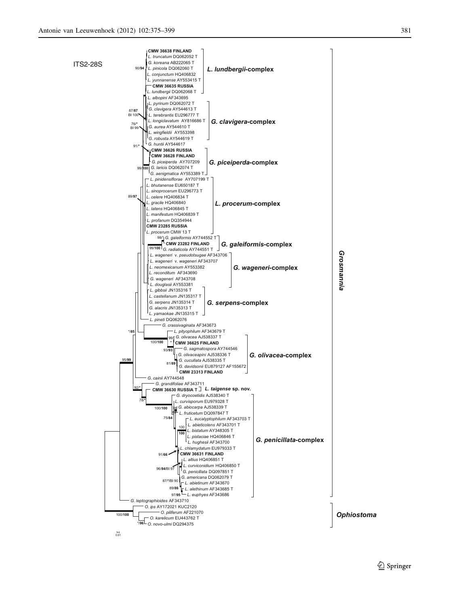

 $\begin{array}{c} H \\ 0.01 \end{array}$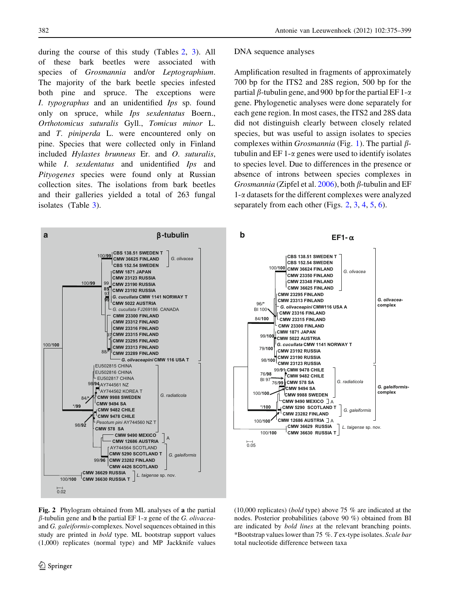<span id="page-7-0"></span>during the course of this study (Tables [2,](#page-3-0) [3](#page-11-0)). All of these bark beetles were associated with species of Grosmannia and/or Leptographium. The majority of the bark beetle species infested both pine and spruce. The exceptions were I. typographus and an unidentified Ips sp. found only on spruce, while Ips sexdentatus Boern., Orthotomicus suturalis Gyll., Tomicus minor L. and T. piniperda L. were encountered only on pine. Species that were collected only in Finland included Hylastes brunneus Er. and O. suturalis, while *I. sexdentatus* and unidentified *Ips* and Pityogenes species were found only at Russian collection sites. The isolations from bark beetles and their galleries yielded a total of 263 fungal isolates (Table [3](#page-11-0)).

#### DNA sequence analyses

Amplification resulted in fragments of approximately 700 bp for the ITS2 and 28S region, 500 bp for the partial  $\beta$ -tubulin gene, and 900 bp for the partial EF 1- $\alpha$ gene. Phylogenetic analyses were done separately for each gene region. In most cases, the ITS2 and 28S data did not distinguish clearly between closely related species, but was useful to assign isolates to species complexes within *Grosmannia* (Fig. [1](#page-5-0)). The partial  $\beta$ tubulin and EF 1- $\alpha$  genes were used to identify isolates to species level. Due to differences in the presence or absence of introns between species complexes in Grosmannia (Zipfel et al. [2006](#page-24-0)), both  $\beta$ -tubulin and EF  $1-\alpha$  datasets for the different complexes were analyzed separately from each other (Figs. 2, [3](#page-8-0), [4](#page-8-0), [5](#page-9-0), [6](#page-10-0)).





Fig. 2 Phylogram obtained from ML analyses of a the partial  $\beta$ -tubulin gene and **b** the partial EF 1- $\alpha$  gene of the *G. olivacea*and G. galeiformis-complexes. Novel sequences obtained in this study are printed in bold type. ML bootstrap support values (1,000) replicates (normal type) and MP Jackknife values

 $(10,000 \text{ replicates})$  (*bold* type) above 75 % are indicated at the nodes. Posterior probabilities (above 90 %) obtained from BI are indicated by bold lines at the relevant branching points. \*Bootstrap values lower than 75 %. T ex-type isolates. Scale bar total nucleotide difference between taxa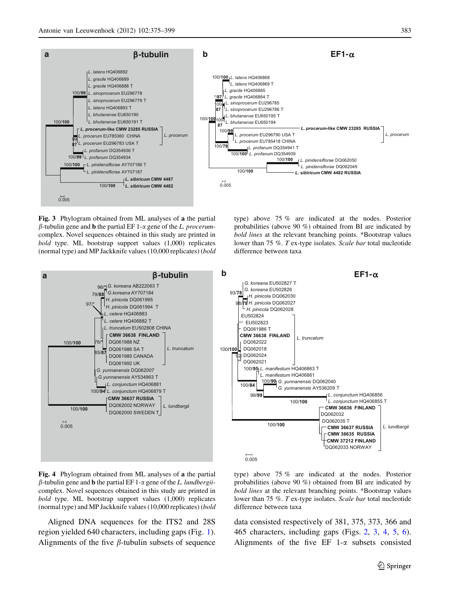<span id="page-8-0"></span>

Fig. 3 Phylogram obtained from ML analyses of a the partial  $\beta$ -tubulin gene and **b** the partial EF 1- $\alpha$  gene of the *L. procerum*complex. Novel sequences obtained in this study are printed in bold type. ML bootstrap support values (1,000) replicates (normal type) and MP Jackknife values (10,000 replicates) (bold

type) above 75 % are indicated at the nodes. Posterior probabilities (above 90 %) obtained from BI are indicated by bold lines at the relevant branching points. \*Bootstrap values lower than 75 %. T ex-type isolates. Scale bar total nucleotide difference between taxa



Fig. 4 Phylogram obtained from ML analyses of a the partial  $\beta$ -tubulin gene and **b** the partial EF 1- $\alpha$  gene of the *L. lundbergii*complex. Novel sequences obtained in this study are printed in bold type. ML bootstrap support values (1,000) replicates (normal type) and MP Jackknife values (10,000 replicates) (bold

Aligned DNA sequences for the ITS2 and 28S region yielded 640 characters, including gaps (Fig. [1](#page-5-0)). Alignments of the five  $\beta$ -tubulin subsets of sequence type) above 75 % are indicated at the nodes. Posterior probabilities (above 90 %) obtained from BI are indicated by bold lines at the relevant branching points. \*Bootstrap values lower than 75 %. T ex-type isolates. Scale bar total nucleotide difference between taxa

data consisted respectively of 381, 375, 373, 366 and 465 characters, including gaps (Figs. [2](#page-7-0), 3, 4, [5,](#page-9-0) [6](#page-10-0)). Alignments of the five EF 1- $\alpha$  subsets consisted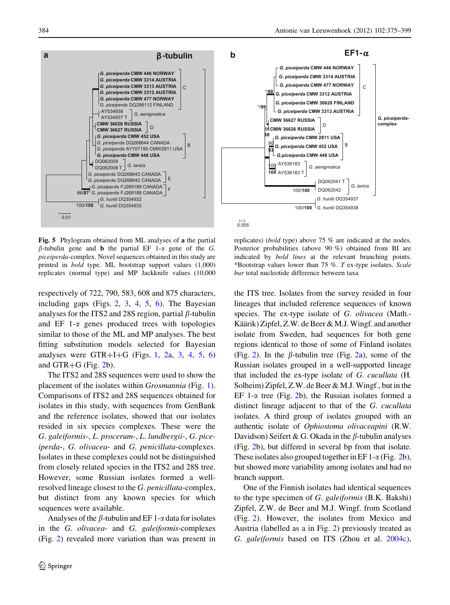<span id="page-9-0"></span>

Fig. 5 Phylogram obtained from ML analyses of a the partial  $\beta$ -tubulin gene and **b** the partial EF 1- $\alpha$  gene of the G. piceiperda-complex. Novel sequences obtained in this study are printed in bold type. ML bootstrap support values (1,000) replicates (normal type) and MP Jackknife values (10,000

respectively of 722, 790, 583, 608 and 875 characters, including gaps (Figs. [2](#page-7-0), [3,](#page-8-0) [4](#page-8-0), 5, [6](#page-10-0)). The Bayesian analyses for the ITS2 and 28S region, partial  $\beta$ -tubulin and EF 1- $\alpha$  genes produced trees with topologies similar to those of the ML and MP analyses. The best fitting substitution models selected for Bayesian analyses were GTR+I+G (Figs. [1](#page-5-0), [2a](#page-7-0), [3,](#page-8-0) [4](#page-8-0), 5, [6\)](#page-10-0) and  $GTR+G$  (Fig. [2](#page-7-0)b).

The ITS2 and 28S sequences were used to show the placement of the isolates within Grosmannia (Fig. [1](#page-5-0)). Comparisons of ITS2 and 28S sequences obtained for isolates in this study, with sequences from GenBank and the reference isolates, showed that our isolates resided in six species complexes. These were the G. galeiformis-, L. procerum-, L. lundbergii-, G. piceiperda-, G. olivacea- and G. penicillata-complexes. Isolates in these complexes could not be distinguished from closely related species in the ITS2 and 28S tree. However, some Russian isolates formed a wellresolved lineage closest to the G. penicillata-complex, but distinct from any known species for which sequences were available.

Analyses of the  $\beta$ -tubulin and EF 1- $\alpha$  data for isolates in the G. olivacea- and G. galeiformis-complexes (Fig. [2\)](#page-7-0) revealed more variation than was present in



replicates) (bold type) above 75 % are indicated at the nodes. Posterior probabilities (above 90 %) obtained from BI are indicated by bold lines at the relevant branching points. \*Bootstrap values lower than 75 %. T ex-type isolates. Scale bar total nucleotide difference between taxa

the ITS tree. Isolates from the survey resided in four lineages that included reference sequences of known species. The ex-type isolate of G. olivacea (Math.-Käärik) Zipfel, Z.W. de Beer & M.J. Wingf. and another isolate from Sweden, had sequences for both gene regions identical to those of some of Finland isolates (Fig. [2\)](#page-7-0). In the  $\beta$ -tubulin tree (Fig. [2a](#page-7-0)), some of the Russian isolates grouped in a well-supported lineage that included the ex-type isolate of G. cucullata (H. Solheim) Zipfel, Z.W. de Beer & M.J. Wingf., but in the EF 1- $\alpha$  tree (Fig. [2b](#page-7-0)), the Russian isolates formed a distinct lineage adjacent to that of the G. cucullata isolates. A third group of isolates grouped with an authentic isolate of Ophiostoma olivaceapini (R.W. Davidson) Seifert & G. Okada in the  $\beta$ -tubulin analyses (Fig. [2b](#page-7-0)), but differed in several bp from that isolate. These isolates also grouped together in EF  $1-\alpha$  (Fig. [2b](#page-7-0)), but showed more variability among isolates and had no branch support.

One of the Finnish isolates had identical sequences to the type specimen of G. galeiformis (B.K. Bakshi) Zipfel, Z.W. de Beer and M.J. Wingf. from Scotland (Fig. [2](#page-7-0)). However, the isolates from Mexico and Austria (labelled as a in Fig. [2\)](#page-7-0) previously treated as G. galeiformis based on ITS (Zhou et al. [2004c](#page-24-0)),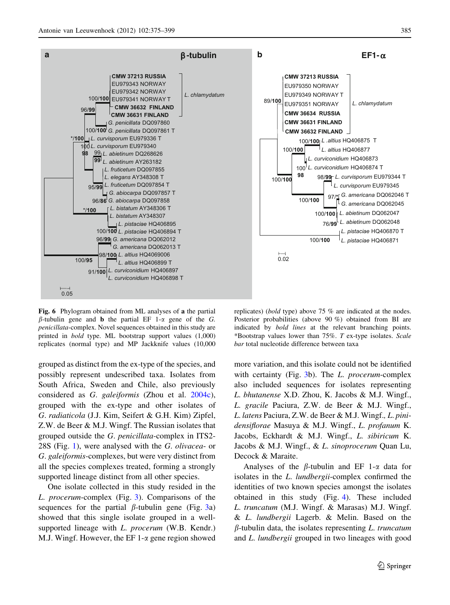<span id="page-10-0"></span>

Fig. 6 Phylogram obtained from ML analyses of a the partial  $\beta$ -tubulin gene and **b** the partial EF 1- $\alpha$  gene of the G. penicillata-complex. Novel sequences obtained in this study are printed in bold type. ML bootstrap support values (1,000) replicates (normal type) and MP Jackknife values (10,000

100/**95**

0.05

*L. altius* HQ406899 T *L. curviconidium* HQ406897 91/**100** *L. curviconidium* HQ406898 T

grouped as distinct from the ex-type of the species, and possibly represent undescribed taxa. Isolates from South Africa, Sweden and Chile, also previously considered as G. galeiformis (Zhou et al. [2004c](#page-24-0)), grouped with the ex-type and other isolates of G. radiaticola (J.J. Kim, Seifert & G.H. Kim) Zipfel, Z.W. de Beer & M.J. Wingf. The Russian isolates that grouped outside the G. penicillata-complex in ITS2- 28S (Fig. [1](#page-5-0)), were analysed with the G. olivacea- or G. galeiformis-complexes, but were very distinct from all the species complexes treated, forming a strongly supported lineage distinct from all other species.

One isolate collected in this study resided in the L. procerum-complex (Fig. [3\)](#page-8-0). Comparisons of the sequences for the partial  $\beta$ -tubulin gene (Fig. [3](#page-8-0)a) showed that this single isolate grouped in a wellsupported lineage with *L. procerum* (W.B. Kendr.) M.J. Wingf. However, the EF 1- $\alpha$  gene region showed

replicates) (bold type) above 75 % are indicated at the nodes. Posterior probabilities (above 90 %) obtained from BI are indicated by bold lines at the relevant branching points. \*Bootstrap values lower than 75%. T ex-type isolates. Scale bar total nucleotide difference between taxa

more variation, and this isolate could not be identified with certainty (Fig. [3b](#page-8-0)). The L. procerum-complex also included sequences for isolates representing L. bhutanense X.D. Zhou, K. Jacobs & M.J. Wingf., L. gracile Paciura, Z.W. de Beer & M.J. Wingf., L. latens Paciura, Z.W. de Beer & M.J. Wingf., L. pinidensiflorae Masuya & M.J. Wingf., L. profanum K. Jacobs, Eckhardt & M.J. Wingf., L. sibiricum K. Jacobs & M.J. Wingf., & L. sinoprocerum Quan Lu, Decock & Maraite.

Analyses of the  $\beta$ -tubulin and EF 1- $\alpha$  data for isolates in the L. lundbergii-complex confirmed the identities of two known species amongst the isolates obtained in this study (Fig. [4\)](#page-8-0). These included L. truncatum (M.J. Wingf. & Marasas) M.J. Wingf. & L. lundbergii Lagerb. & Melin. Based on the  $\beta$ -tubulin data, the isolates representing *L. truncatum* and L. lundbergii grouped in two lineages with good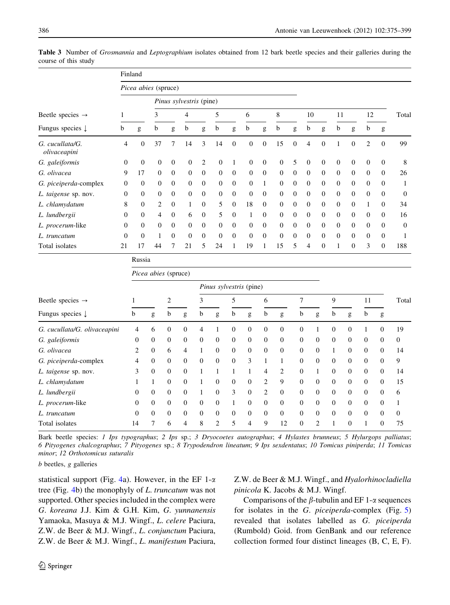|                                 |                | Finland              |                  |                  |                         |                  |                  |                  |                         |                  |                  |                  |                  |                  |                  |                  |                  |                  |                |
|---------------------------------|----------------|----------------------|------------------|------------------|-------------------------|------------------|------------------|------------------|-------------------------|------------------|------------------|------------------|------------------|------------------|------------------|------------------|------------------|------------------|----------------|
|                                 |                | Picea abies (spruce) |                  |                  |                         |                  |                  |                  |                         |                  |                  |                  |                  |                  |                  |                  |                  |                  |                |
|                                 |                |                      |                  |                  | Pinus sylvestris (pine) |                  |                  |                  |                         |                  |                  |                  |                  |                  |                  |                  |                  |                  |                |
| Beetle species $\rightarrow$    | 1              |                      | 3                |                  | $\overline{4}$          |                  | 5                |                  | 6                       |                  | $\,8\,$          |                  | 10               |                  | 11               |                  | 12               |                  | Total          |
| Fungus species $\downarrow$     | b              | g                    | b                | g                | $\mathbf b$             | g                | b                | g                | b                       | g                | $\mathbf b$      | g                | b                | g                | b                | g                | b                | g                |                |
| G. cucullata/G.<br>olivaceapini | $\overline{4}$ | $\mathbf{0}$         | 37               | 7                | 14                      | 3                | 14               | $\mathbf{0}$     | $\mathbf{0}$            | $\boldsymbol{0}$ | 15               | $\boldsymbol{0}$ | $\overline{4}$   | $\boldsymbol{0}$ | $\mathbf{1}$     | $\boldsymbol{0}$ | $\overline{c}$   | $\mathbf{0}$     | 99             |
| G. galeiformis                  | $\mathbf{0}$   | $\mathbf{0}$         | $\boldsymbol{0}$ | 0                | $\boldsymbol{0}$        | $\overline{c}$   | $\boldsymbol{0}$ | 1                | $\boldsymbol{0}$        | $\mathbf{0}$     | $\boldsymbol{0}$ | 5                | $\boldsymbol{0}$ | $\boldsymbol{0}$ | $\boldsymbol{0}$ | 0                | $\boldsymbol{0}$ | $\mathbf{0}$     | 8              |
| G. olivacea                     | 9              | 17                   | $\mathbf{0}$     | $\overline{0}$   | $\mathbf{0}$            | $\mathbf{0}$     | $\mathbf{0}$     | $\mathbf{0}$     | $\mathbf{0}$            | $\mathbf{0}$     | $\mathbf{0}$     | $\theta$         | $\overline{0}$   | 0                | $\overline{0}$   | 0                | $\mathbf{0}$     | $\Omega$         | 26             |
| G. piceiperda-complex           | $\overline{0}$ | $\theta$             | $\boldsymbol{0}$ | 0                | $\boldsymbol{0}$        | $\overline{0}$   | $\boldsymbol{0}$ | $\mathbf{0}$     | $\boldsymbol{0}$        | $\mathbf{1}$     | $\boldsymbol{0}$ | $\theta$         | $\boldsymbol{0}$ | $\mathbf{0}$     | $\boldsymbol{0}$ | $\overline{0}$   | $\boldsymbol{0}$ | $\Omega$         | $\mathbf{1}$   |
| L. taigense sp. nov.            | 0              | $\Omega$             | $\mathbf{0}$     | $\overline{0}$   | $\mathbf{0}$            | $\mathbf{0}$     | $\boldsymbol{0}$ | $\mathbf{0}$     | $\overline{0}$          | $\mathbf{0}$     | $\mathbf{0}$     | $\mathbf{0}$     | $\overline{0}$   | $\mathbf{0}$     | $\overline{0}$   | 0                | $\mathbf{0}$     | $\Omega$         | $\Omega$       |
| L. chlamydatum                  | 8              | $\theta$             | 2                | $\overline{0}$   | 1                       | $\mathbf{0}$     | 5                | $\mathbf{0}$     | 18                      | $\mathbf{0}$     | $\mathbf{0}$     | $\overline{0}$   | $\overline{0}$   | $\overline{0}$   | $\overline{0}$   | $\overline{0}$   | 1                | $\mathbf{0}$     | 34             |
| L. lundbergii                   | $\Omega$       | $\Omega$             | 4                | 0                | 6                       | $\Omega$         | 5                | $\mathbf{0}$     | $\mathbf{1}$            | $\Omega$         | $\mathbf{0}$     | $\Omega$         | $\overline{0}$   | $\mathbf{0}$     | $\overline{0}$   | $\overline{0}$   | $\overline{0}$   | $\Omega$         | 16             |
| L. procerum-like                | $\Omega$       | $\overline{0}$       | $\mathbf{0}$     | 0                | $\boldsymbol{0}$        | $\mathbf{0}$     | $\boldsymbol{0}$ | $\mathbf{0}$     | $\boldsymbol{0}$        | $\overline{0}$   | $\boldsymbol{0}$ | $\mathbf{0}$     | $\boldsymbol{0}$ | $\overline{0}$   | $\overline{0}$   | 0                | $\boldsymbol{0}$ | $\mathbf{0}$     | $\overline{0}$ |
| L. truncatum                    | $\overline{0}$ | $\overline{0}$       | 1                | $\overline{0}$   | $\theta$                | $\overline{0}$   | $\overline{0}$   | $\overline{0}$   | $\overline{0}$          | $\mathbf{0}$     | $\mathbf{0}$     | $\overline{0}$   | $\overline{0}$   | $\mathbf{0}$     | $\overline{0}$   | $\mathbf{0}$     | $\mathbf{0}$     | $\mathbf{0}$     | 1              |
| Total isolates                  | 21             | 17                   | 44               | 7                | 21                      | 5                | 24               | 1                | 19                      | 1                | 15               | 5                | 4                | $\Omega$         | 1                | $\theta$         | 3                | $\Omega$         | 188            |
|                                 |                | Russia               |                  |                  |                         |                  |                  |                  |                         |                  |                  |                  |                  |                  |                  |                  |                  |                  |                |
|                                 |                | Picea abies (spruce) |                  |                  |                         |                  |                  |                  |                         |                  |                  |                  |                  |                  |                  |                  |                  |                  |                |
|                                 |                |                      |                  |                  |                         |                  |                  |                  | Pinus sylvestris (pine) |                  |                  |                  |                  |                  |                  |                  |                  |                  |                |
| Beetle species $\rightarrow$    |                | 1                    |                  | 2                |                         | 3                |                  | 5                |                         | 6                |                  |                  | $\overline{7}$   |                  | 9                |                  | 11               |                  | Total          |
| Fungus species $\downarrow$     |                | b                    | g                | b                | g                       | b                | g                | b                | g                       | b                | g                |                  | b                | g                | b                | g                | b                | g                |                |
| G. cucullata/G. olivaceapini    |                | $\overline{4}$       | 6                | $\mathbf{0}$     | $\overline{0}$          | $\overline{4}$   | $\mathbf{1}$     | $\mathbf{0}$     | $\boldsymbol{0}$        | $\overline{0}$   | $\mathbf{0}$     |                  | $\mathbf{0}$     | $\mathbf{1}$     | $\overline{0}$   | $\overline{0}$   | $\mathbf{1}$     | $\mathbf{0}$     | 19             |
| G. galeiformis                  |                | $\boldsymbol{0}$     | 0                | $\boldsymbol{0}$ | $\boldsymbol{0}$        | $\boldsymbol{0}$ | 0                | $\boldsymbol{0}$ | $\mathbf{0}$            | $\boldsymbol{0}$ | 0                |                  | $\boldsymbol{0}$ | $\boldsymbol{0}$ | 0                | $\boldsymbol{0}$ | $\boldsymbol{0}$ | 0                | 0              |
| G. olivacea                     |                | 2                    | $\boldsymbol{0}$ | 6                | 4                       | 1                | $\overline{0}$   | $\Omega$         | $\mathbf{0}$            | $\mathbf{0}$     | $\boldsymbol{0}$ |                  | $\mathbf{0}$     | $\mathbf{0}$     | $\mathbf{1}$     | $\mathbf{0}$     | $\mathbf{0}$     | $\overline{0}$   | 14             |
| G. piceiperda-complex           |                | 4                    | 0                | $\boldsymbol{0}$ | $\mathbf{0}$            | $\boldsymbol{0}$ | $\overline{0}$   | $\mathbf{0}$     | 3                       | 1                | 1                |                  | $\boldsymbol{0}$ | $\boldsymbol{0}$ | 0                | $\boldsymbol{0}$ | $\mathbf{0}$     | $\boldsymbol{0}$ | 9              |
| L. taigense sp. nov.            |                | 3                    | $\boldsymbol{0}$ | $\overline{0}$   | $\overline{0}$          | 1                | $\mathbf{1}$     | 1                | $\mathbf{1}$            | 4                | $\overline{c}$   |                  | $\overline{0}$   | $\mathbf{1}$     | $\boldsymbol{0}$ | $\overline{0}$   | $\overline{0}$   | $\boldsymbol{0}$ | 14             |
| L. chlamydatum                  |                | 1                    | 1                | $\boldsymbol{0}$ | $\mathbf{0}$            | 1                | $\overline{0}$   | $\overline{0}$   | $\mathbf{0}$            | 2                | 9                |                  | $\mathbf{0}$     | $\mathbf{0}$     | 0                | $\overline{0}$   | $\overline{0}$   | $\mathbf{0}$     | 15             |
| L. lundbergii                   |                | $\mathbf{0}$         | $\Omega$         | $\overline{0}$   | $\overline{0}$          | 1                | $\overline{0}$   | 3                | $\mathbf{0}$            | $\overline{c}$   | $\mathbf{0}$     |                  | $\mathbf{0}$     | $\mathbf{0}$     | $\boldsymbol{0}$ | $\mathbf{0}$     | $\mathbf{0}$     | $\mathbf{0}$     | 6              |
| L. procerum-like                |                | $\mathbf{0}$         | $\Omega$         | $\boldsymbol{0}$ | $\mathbf{0}$            | $\mathbf{0}$     | $\overline{0}$   | 1                | $\mathbf{0}$            | $\overline{0}$   | $\boldsymbol{0}$ |                  | $\mathbf{0}$     | $\mathbf{0}$     | $\Omega$         | $\mathbf{0}$     | $\overline{0}$   | $\mathbf{0}$     | 1              |
| L. truncatum                    |                | $\mathbf{0}$         | $\Omega$         | $\overline{0}$   | $\mathbf{0}$            | $\Omega$         | $\overline{0}$   | $\Omega$         | $\mathbf{0}$            | $\overline{0}$   | $\Omega$         |                  | $\Omega$         | $\mathbf{0}$     | $\theta$         | $\overline{0}$   | $\overline{0}$   | $\Omega$         | $\overline{0}$ |
| Total isolates                  |                | 14                   | 7                | 6                | 4                       | 8                | $\overline{2}$   | 5                | 4                       | 9                | 12               |                  | $\overline{0}$   | $\overline{2}$   | 1                | $\overline{0}$   | 1                | $\overline{0}$   | 75             |

<span id="page-11-0"></span>Table 3 Number of *Grosmannia* and *Leptographium* isolates obtained from 12 bark beetle species and their galleries during the course of this study

Bark beetle species: 1 Ips typographus; 2 Ips sp.; 3 Dryocoetes autographus; 4 Hylastes brunneus; 5 Hylurgops palliatus; 6 Pityogenes chalcographus; 7 Pityogenes sp.; 8 Trypodendron lineatum; 9 Ips sexdentatus; 10 Tomicus piniperda; 11 Tomicus minor; 12 Orthotomicus suturalis

b beetles, g galleries

statistical support (Fig. [4](#page-8-0)a). However, in the EF  $1-\alpha$ tree (Fig. [4b](#page-8-0)) the monophyly of L. truncatum was not supported. Other species included in the complex were G. koreana J.J. Kim & G.H. Kim, G. yunnanensis Yamaoka, Masuya & M.J. Wingf., L. celere Paciura, Z.W. de Beer & M.J. Wingf., L. conjunctum Paciura, Z.W. de Beer & M.J. Wingf., L. manifestum Paciura, Z.W. de Beer & M.J. Wingf., and Hyalorhinocladiella pinicola K. Jacobs & M.J. Wingf.

Comparisons of the  $\beta$ -tubulin and EF 1- $\alpha$  sequences for isolates in the G. piceiperda-complex (Fig. [5\)](#page-9-0) revealed that isolates labelled as G. piceiperda (Rumbold) Goid. from GenBank and our reference collection formed four distinct lineages (B, C, E, F).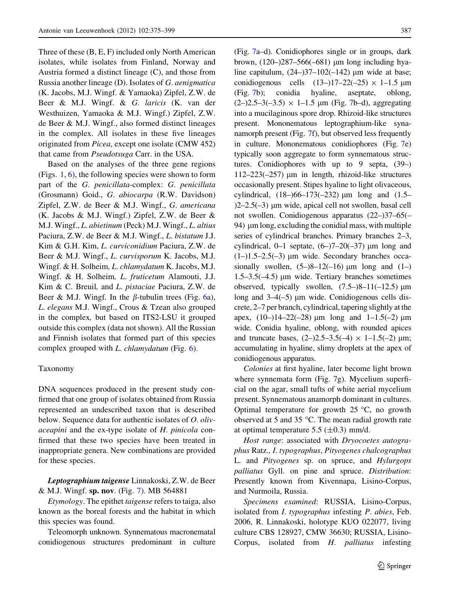Three of these (B, E, F) included only North American isolates, while isolates from Finland, Norway and Austria formed a distinct lineage (C), and those from Russia another lineage (D). Isolates of G. aenigmatica (K. Jacobs, M.J. Wingf. & Yamaoka) Zipfel, Z.W. de Beer & M.J. Wingf. & G. laricis (K. van der Westhuizen, Yamaoka & M.J. Wingf.) Zipfel, Z.W. de Beer & M.J. Wingf., also formed distinct lineages in the complex. All isolates in these five lineages originated from Picea, except one isolate (CMW 452) that came from Pseudotsuga Carr. in the USA.

Based on the analyses of the three gene regions (Figs. [1](#page-5-0), [6\)](#page-10-0), the following species were shown to form part of the G. penicillata-complex: G. penicillata (Grosmann) Goid., G. abiocarpa (R.W. Davidson) Zipfel, Z.W. de Beer & M.J. Wingf., G. americana (K. Jacobs & M.J. Wingf.) Zipfel, Z.W. de Beer & M.J. Wingf., L. abietinum (Peck) M.J. Wingf., L. altius Paciura, Z.W. de Beer & M.J. Wingf., L. bistatum J.J. Kim & G.H. Kim, L. curviconidium Paciura, Z.W. de Beer & M.J. Wingf., L. curvisporum K. Jacobs, M.J. Wingf. & H. Solheim, L. chlamydatum K. Jacobs, M.J. Wingf. & H. Solheim, L. fruticetum Alamouti, J.J. Kim & C. Breuil, and L. pistaciae Paciura, Z.W. de Beer & M.J. Wingf. In the  $\beta$ -tubulin trees (Fig. [6a](#page-10-0)), L. elegans M.J. Wingf., Crous & Tzean also grouped in the complex, but based on ITS2-LSU it grouped outside this complex (data not shown). All the Russian and Finnish isolates that formed part of this species complex grouped with L. chlamydatum (Fig. [6](#page-10-0)).

#### Taxonomy

DNA sequences produced in the present study confirmed that one group of isolates obtained from Russia represented an undescribed taxon that is described below. Sequence data for authentic isolates of O. olivaceapini and the ex-type isolate of H. pinicola confirmed that these two species have been treated in inappropriate genera. New combinations are provided for these species.

Leptographium taigense Linnakoski, Z.W. de Beer & M.J. Wingf. sp. nov. (Fig. [7](#page-13-0)). MB 564881

Etymology. The epithet taigense refers to taiga, also known as the boreal forests and the habitat in which this species was found.

Teleomorph unknown. Synnematous macronematal conidiogenous structures predominant in culture (Fig. [7a](#page-13-0)–d). Conidiophores single or in groups, dark brown,  $(120-)287-566(-681)$  µm long including hyaline capitulum,  $(24-)37-102(-142)$  µm wide at base; conidiogenous cells  $(13-)17-22(-25) \times 1-1.5$  µm (Fig. [7b](#page-13-0)); conidia hyaline, aseptate, oblong,  $(2-)2.5-3(-3.5) \times 1-1.5 \mu m$  (Fig. [7b](#page-13-0)–d), aggregating into a mucilaginous spore drop. Rhizoid-like structures present. Mononematous leptographium-like synanamorph present (Fig. [7](#page-13-0)f), but observed less frequently in culture. Mononematous conidiophores (Fig. [7e](#page-13-0)) typically soon aggregate to form synnematous structures. Conidiophores with up to 9 septa, (39–)  $112-223(-257)$  µm in length, rhizoid-like structures occasionally present. Stipes hyaline to light olivaceous, cylindrical,  $(18–)66–173(-232) \mu m$  long and  $(1.5–)$  $(2-2.5(-3))$  µm wide, apical cell not swollen, basal cell not swollen. Conidiogenous apparatus (22–)37–65(– 94) μm long, excluding the conidial mass, with multiple series of cylindrical branches. Primary branches 2–3, cylindrical,  $0-1$  septate,  $(6-)7-20(-37)$  µm long and  $(1-)1.5-2.5(-3)$  µm wide. Secondary branches occasionally swollen,  $(5-)8-12(-16)$  µm long and  $(1-)$  $1.5-3.5(-4.5)$  µm wide. Tertiary branches sometimes observed, typically swollen,  $(7.5-)8-11(-12.5) \mu m$ long and  $3-4(-5)$  µm wide. Conidiogenous cells discrete, 2–7 per branch, cylindrical, tapering slightly at the apex,  $(10-)14-22(-28)$  µm long and  $1-1.5(-2)$  µm wide. Conidia hyaline, oblong, with rounded apices and truncate bases,  $(2-)2.5-3.5(-4) \times 1-1.5(-2) \text{ }\mu\text{m}$ ; accumulating in hyaline, slimy droplets at the apex of conidiogenous apparatus.

Colonies at first hyaline, later become light brown where synnemata form (Fig. [7](#page-13-0)g). Mycelium superficial on the agar, small tufts of white aerial mycelium present. Synnematous anamorph dominant in cultures. Optimal temperature for growth  $25^{\circ}$ C, no growth observed at 5 and 35  $\degree$ C. The mean radial growth rate at optimal temperature  $5.5 \ (\pm 0.3) \text{ mm/d.}$ 

Host range: associated with Dryocoetes autographus Ratz., I. typographus, Pityogenes chalcographus L. and Pityogenes sp. on spruce, and Hylurgops palliatus Gyll. on pine and spruce. Distribution: Presently known from Kivennapa, Lisino-Corpus, and Nurmoila, Russia.

Specimens examined: RUSSIA, Lisino-Corpus, isolated from I. typographus infesting P. abies, Feb. 2006, R. Linnakoski, holotype KUO 022077, living culture CBS 128927, CMW 36630; RUSSIA, Lisino-Corpus, isolated from H. palliatus infesting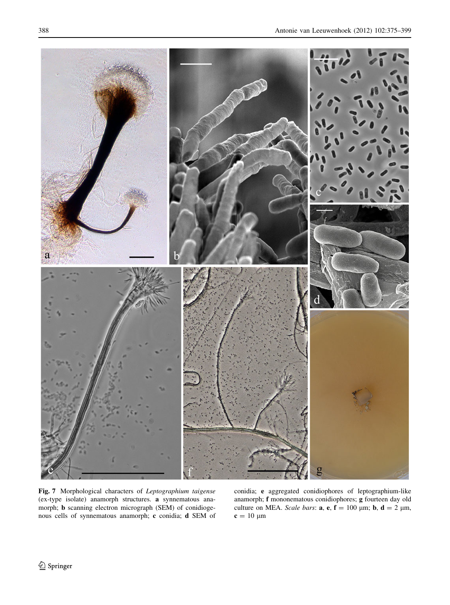<span id="page-13-0"></span>

Fig. 7 Morphological characters of Leptographium taigense (ex-type isolate) anamorph structures. a synnematous anamorph; b scanning electron micrograph (SEM) of conidiogenous cells of synnematous anamorph; c conidia; d SEM of

conidia; e aggregated conidiophores of leptographium-like anamorph; f mononematous conidiophores; g fourteen day old culture on MEA. Scale bars: **a**, **e**,  $\mathbf{f} = 100 \text{ µm}$ ; **b**,  $\mathbf{d} = 2 \text{ µm}$ ,  $c = 10 \mu m$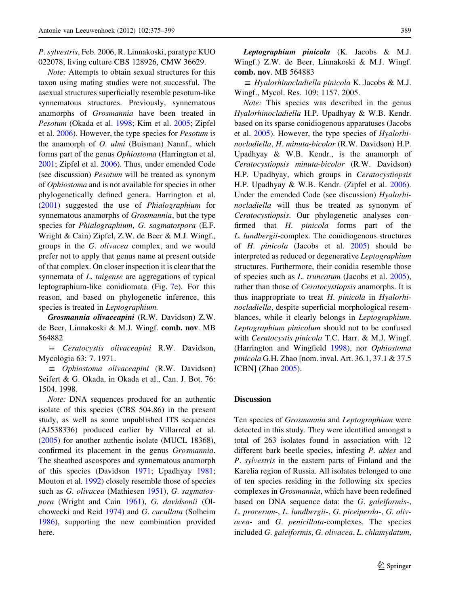P. sylvestris, Feb. 2006, R. Linnakoski, paratype KUO 022078, living culture CBS 128926, CMW 36629.

Note: Attempts to obtain sexual structures for this taxon using mating studies were not successful. The asexual structures superficially resemble pesotum-like synnematous structures. Previously, synnematous anamorphs of Grosmannia have been treated in Pesotum (Okada et al. [1998;](#page-23-0) Kim et al. [2005;](#page-22-0) Zipfel et al. [2006\)](#page-24-0). However, the type species for Pesotum is the anamorph of *O. ulmi* (Buisman) Nannf., which forms part of the genus Ophiostoma (Harrington et al. [2001;](#page-21-0) Zipfel et al. [2006](#page-24-0)). Thus, under emended Code (see discussion) Pesotum will be treated as synonym of Ophiostoma and is not available for species in other phylogenetically defined genera. Harrington et al. [\(2001](#page-21-0)) suggested the use of Phialographium for synnematous anamorphs of Grosmannia, but the type species for Phialographium, G. sagmatospora (E.F. Wright & Cain) Zipfel, Z.W. de Beer & M.J. Wingf., groups in the G. olivacea complex, and we would prefer not to apply that genus name at present outside of that complex. On closer inspection it is clear that the synnemata of L. taigense are aggregations of typical leptographium-like conidiomata (Fig. [7](#page-13-0)e). For this reason, and based on phylogenetic inference, this species is treated in *Leptographium*.

Grosmannia olivaceapini (R.W. Davidson) Z.W. de Beer, Linnakoski & M.J. Wingf. comb. nov. MB 564882

 $\equiv$  Ceratocystis olivaceapini R.W. Davidson, Mycologia 63: 7. 1971.

 $\equiv$  *Ophiostoma olivaceapini* (R.W. Davidson) Seifert & G. Okada, in Okada et al., Can. J. Bot. 76: 1504. 1998.

Note: DNA sequences produced for an authentic isolate of this species (CBS 504.86) in the present study, as well as some unpublished ITS sequences (AJ538336) produced earlier by Villarreal et al. [\(2005](#page-23-0)) for another authentic isolate (MUCL 18368), confirmed its placement in the genus Grosmannia. The sheathed ascospores and synnematous anamorph of this species (Davidson [1971;](#page-20-0) Upadhyay [1981](#page-23-0); Mouton et al. [1992](#page-22-0)) closely resemble those of species such as G. olivacea (Mathiesen [1951\)](#page-22-0), G. sagmatospora (Wright and Cain [1961](#page-24-0)), G. davidsonii (Olchowecki and Reid [1974](#page-23-0)) and G. cucullata (Solheim [1986\)](#page-23-0), supporting the new combination provided here.

Leptographium pinicola (K. Jacobs & M.J. Wingf.) Z.W. de Beer, Linnakoski & M.J. Wingf. comb. nov. MB 564883

 $\equiv$  Hyalorhinocladiella pinicola K. Jacobs & M.J. Wingf., Mycol. Res. 109: 1157. 2005.

Note: This species was described in the genus Hyalorhinocladiella H.P. Upadhyay & W.B. Kendr. based on its sparse conidiogenous apparatuses (Jacobs et al. [2005\)](#page-21-0). However, the type species of Hyalorhinocladiella, H. minuta-bicolor (R.W. Davidson) H.P. Upadhyay & W.B. Kendr., is the anamorph of Ceratocystiopsis minuta-bicolor (R.W. Davidson) H.P. Upadhyay, which groups in Ceratocystiopsis H.P. Upadhyay & W.B. Kendr. (Zipfel et al. [2006](#page-24-0)). Under the emended Code (see discussion) Hyalorhinocladiella will thus be treated as synonym of Ceratocystiopsis. Our phylogenetic analyses confirmed that H. pinicola forms part of the L. lundbergii-complex. The conidiogenous structures of H. pinicola (Jacobs et al. [2005](#page-21-0)) should be interpreted as reduced or degenerative Leptographium structures. Furthermore, their conidia resemble those of species such as L. truncatum (Jacobs et al. [2005](#page-21-0)), rather than those of Ceratocystiopsis anamorphs. It is thus inappropriate to treat H. pinicola in Hyalorhinocladiella, despite superficial morphological resemblances, while it clearly belongs in Leptographium. Leptographium pinicolum should not to be confused with Ceratocystis pinicola T.C. Harr. & M.J. Wingf. (Harrington and Wingfield [1998](#page-21-0)), nor Ophiostoma pinicola G.H. Zhao [nom. inval. Art. 36.1, 37.1 & 37.5 ICBN] (Zhao [2005](#page-24-0)).

# **Discussion**

Ten species of Grosmannia and Leptographium were detected in this study. They were identified amongst a total of 263 isolates found in association with 12 different bark beetle species, infesting P. abies and P. sylvestris in the eastern parts of Finland and the Karelia region of Russia. All isolates belonged to one of ten species residing in the following six species complexes in Grosmannia, which have been redefined based on DNA sequence data: the G. galeiformis-, L. procerum-, L. lundbergii-, G. piceiperda-, G. olivacea- and G. penicillata-complexes. The species included G. galeiformis, G. olivacea, L. chlamydatum,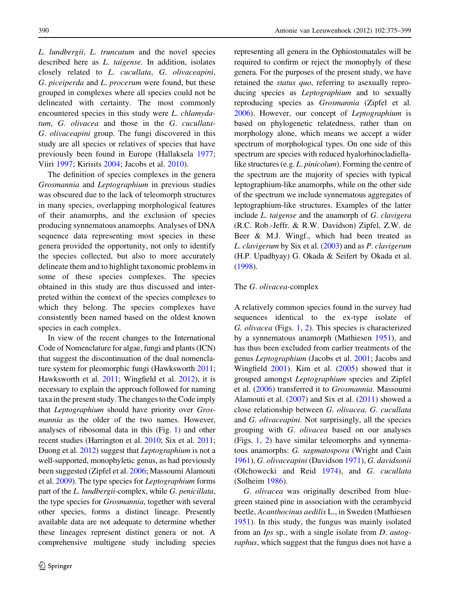L. lundbergii, L. truncatum and the novel species described here as L. taigense. In addition, isolates closely related to L. cucullata, G. olivaceapini, G. piceiperda and L. procerum were found, but these grouped in complexes where all species could not be delineated with certainty. The most commonly encountered species in this study were L. chlamydatum, G. olivacea and those in the G. cucullata-G. olivaceapini group. The fungi discovered in this study are all species or relatives of species that have previously been found in Europe (Hallaksela [1977](#page-21-0); Viiri [1997](#page-23-0); Kirisits [2004](#page-22-0); Jacobs et al. [2010\)](#page-21-0).

The definition of species complexes in the genera Grosmannia and Leptographium in previous studies was obscured due to the lack of teleomorph structures in many species, overlapping morphological features of their anamorphs, and the exclusion of species producing synnematous anamorphs. Analyses of DNA sequence data representing most species in these genera provided the opportunity, not only to identify the species collected, but also to more accurately delineate them and to highlight taxonomic problems in some of these species complexes. The species obtained in this study are thus discussed and interpreted within the context of the species complexes to which they belong. The species complexes have consistently been named based on the oldest known species in each complex.

In view of the recent changes to the International Code of Nomenclature for algae, fungi and plants (ICN) that suggest the discontinuation of the dual nomenclature system for pleomorphic fungi (Hawksworth [2011](#page-21-0); Hawksworth et al. [2011](#page-21-0); Wingfield et al. [2012](#page-24-0)), it is necessary to explain the approach followed for naming taxa in the present study. The changes to the Code imply that Leptographium should have priority over Grosmannia as the older of the two names. However, analyses of ribosomal data in this (Fig. [1](#page-5-0)) and other recent studies (Harrington et al. [2010](#page-21-0); Six et al. [2011](#page-23-0); Duong et al. [2012\)](#page-20-0) suggest that *Leptographium* is not a well-supported, monophyletic genus, as had previously been suggested (Zipfel et al. [2006](#page-24-0); Massoumi Alamouti et al. [2009\)](#page-22-0). The type species for Leptographium forms part of the L. lundbergii-complex, while G. penicillata, the type species for Grosmannia, together with several other species, forms a distinct lineage. Presently available data are not adequate to determine whether these lineages represent distinct genera or not. A comprehensive multigene study including species

representing all genera in the Ophiostomatales will be required to confirm or reject the monophyly of these genera. For the purposes of the present study, we have retained the *status quo*, referring to asexually reproducing species as Leptographium and to sexually reproducing species as Grosmannia (Zipfel et al. [2006](#page-24-0)). However, our concept of Leptographium is based on phylogenetic relatedness, rather than on morphology alone, which means we accept a wider spectrum of morphological types. On one side of this spectrum are species with reduced hyalorhinocladiellalike structures (e.g. L. *pinicolum*). Forming the centre of the spectrum are the majority of species with typical leptographium-like anamorphs, while on the other side of the spectrum we include synnematous aggregates of leptographium-like structures. Examples of the latter include L. taigense and the anamorph of G. clavigera (R.C. Rob.-Jeffr. & R.W. Davidson) Zipfel, Z.W. de Beer & M.J. Wingf., which had been treated as L. clavigerum by Six et al. [\(2003\)](#page-23-0) and as P. clavigerum (H.P. Upadhyay) G. Okada & Seifert by Okada et al. [\(1998\)](#page-23-0).

## The G. olivacea-complex

A relatively common species found in the survey had sequences identical to the ex-type isolate of G. olivacea (Figs. [1,](#page-5-0) [2\)](#page-7-0). This species is characterized by a synnematous anamorph (Mathiesen [1951](#page-22-0)), and has thus been excluded from earlier treatments of the genus Leptographium (Jacobs et al. [2001;](#page-21-0) Jacobs and Wingfield [2001\)](#page-21-0). Kim et al. ([2005\)](#page-22-0) showed that it grouped amongst Leptographium species and Zipfel et al. [\(2006](#page-24-0)) transferred it to Grosmannia. Massoumi Alamouti et al. [\(2007](#page-22-0)) and Six et al. ([2011\)](#page-23-0) showed a close relationship between G. olivacea, G. cucullata and G. olivaceapini. Not surprisingly, all the species grouping with G. olivacea based on our analyses (Figs. [1](#page-5-0), [2\)](#page-7-0) have similar teleomorphs and synnematous anamorphs: G. sagmatospora (Wright and Cain [1961\)](#page-24-0), G. olivaceapini (Davidson [1971](#page-20-0)), G. davidsonii (Olchowecki and Reid [1974](#page-23-0)), and G. cucullata (Solheim [1986](#page-23-0)).

G. olivacea was originally described from bluegreen stained pine in association with the cerambycid beetle, Acanthocinus aedilis L., in Sweden (Mathiesen [1951\)](#page-22-0). In this study, the fungus was mainly isolated from an *Ips* sp., with a single isolate from *D. autog*raphus, which suggest that the fungus does not have a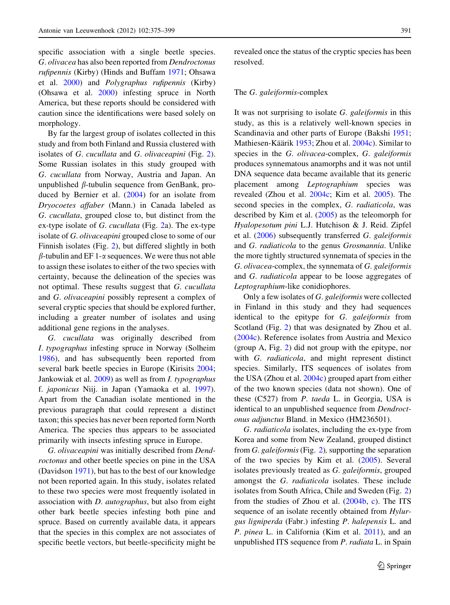specific association with a single beetle species. G. olivacea has also been reported from Dendroctonus rufipennis (Kirby) (Hinds and Buffam [1971](#page-21-0); Ohsawa et al. [2000](#page-23-0)) and Polygraphus rufipennis (Kirby) (Ohsawa et al. [2000\)](#page-23-0) infesting spruce in North America, but these reports should be considered with caution since the identifications were based solely on morphology.

By far the largest group of isolates collected in this study and from both Finland and Russia clustered with isolates of G. cucullata and G. olivaceapini (Fig. [2](#page-7-0)). Some Russian isolates in this study grouped with G. cucullata from Norway, Austria and Japan. An unpublished  $\beta$ -tubulin sequence from GenBank, produced by Bernier et al. ([2004\)](#page-20-0) for an isolate from Dryocoetes affaber (Mann.) in Canada labeled as G. cucullata, grouped close to, but distinct from the ex-type isolate of G. cucullata (Fig. [2](#page-7-0)a). The ex-type isolate of G. olivaceapini grouped close to some of our Finnish isolates (Fig. [2](#page-7-0)), but differed slightly in both  $\beta$ -tubulin and EF 1- $\alpha$  sequences. We were thus not able to assign these isolates to either of the two species with certainty, because the delineation of the species was not optimal. These results suggest that G. cucullata and G. olivaceapini possibly represent a complex of several cryptic species that should be explored further, including a greater number of isolates and using additional gene regions in the analyses.

G. cucullata was originally described from I. typographus infesting spruce in Norway (Solheim [1986\)](#page-23-0), and has subsequently been reported from several bark beetle species in Europe (Kirisits [2004](#page-22-0); Jankowiak et al. [2009](#page-22-0)) as well as from I. typographus f. japonicus Niij. in Japan (Yamaoka et al. [1997](#page-24-0)). Apart from the Canadian isolate mentioned in the previous paragraph that could represent a distinct taxon; this species has never been reported form North America. The species thus appears to be associated primarily with insects infesting spruce in Europe.

G. olivaceapini was initially described from Dendroctonus and other beetle species on pine in the USA (Davidson [1971\)](#page-20-0), but has to the best of our knowledge not been reported again. In this study, isolates related to these two species were most frequently isolated in association with *D. autographus*, but also from eight other bark beetle species infesting both pine and spruce. Based on currently available data, it appears that the species in this complex are not associates of specific beetle vectors, but beetle-specificity might be

revealed once the status of the cryptic species has been resolved.

## The *G. galeiformis*-complex

It was not surprising to isolate G. galeiformis in this study, as this is a relatively well-known species in Scandinavia and other parts of Europe (Bakshi [1951](#page-20-0); Mathiesen-Käärik [1953](#page-22-0); Zhou et al. [2004c\)](#page-24-0). Similar to species in the G. olivacea-complex, G. galeiformis produces synnematous anamorphs and it was not until DNA sequence data became available that its generic placement among Leptographium species was revealed (Zhou et al. [2004c](#page-24-0); Kim et al. [2005\)](#page-22-0). The second species in the complex, G. radiaticola, was described by Kim et al. ([2005\)](#page-22-0) as the teleomorph for Hyalopesotum pini L.J. Hutchison & J. Reid. Zipfel et al. [\(2006](#page-24-0)) subsequently transferred G. galeiformis and G. radiaticola to the genus Grosmannia. Unlike the more tightly structured synnemata of species in the G. olivacea-complex, the synnemata of G. galeiformis and G. radiaticola appear to be loose aggregates of Leptographium-like conidiophores.

Only a few isolates of G. galeiformis were collected in Finland in this study and they had sequences identical to the epitype for G. galeiformis from Scotland (Fig. [2\)](#page-7-0) that was designated by Zhou et al. [\(2004c\)](#page-24-0). Reference isolates from Austria and Mexico (group A, Fig. [2](#page-7-0)) did not group with the epitype, nor with G. radiaticola, and might represent distinct species. Similarly, ITS sequences of isolates from the USA (Zhou et al. [2004c](#page-24-0)) grouped apart from either of the two known species (data not shown). One of these (C527) from P. taeda L. in Georgia, USA is identical to an unpublished sequence from Dendroctonus adjunctus Bland. in Mexico (HM236501).

G. radiaticola isolates, including the ex-type from Korea and some from New Zealand, grouped distinct from  $G$ . *galeiformis* (Fig. [2\)](#page-7-0), supporting the separation of the two species by Kim et al. [\(2005](#page-22-0)). Several isolates previously treated as G. galeiformis, grouped amongst the G. radiaticola isolates. These include isolates from South Africa, Chile and Sweden (Fig. [2\)](#page-7-0) from the studies of Zhou et al.  $(2004b, c)$  $(2004b, c)$  $(2004b, c)$  $(2004b, c)$  $(2004b, c)$ . The ITS sequence of an isolate recently obtained from *Hylur*gus ligniperda (Fabr.) infesting P. halepensis L. and P. pinea L. in California (Kim et al. [2011\)](#page-22-0), and an unpublished ITS sequence from P. radiata L. in Spain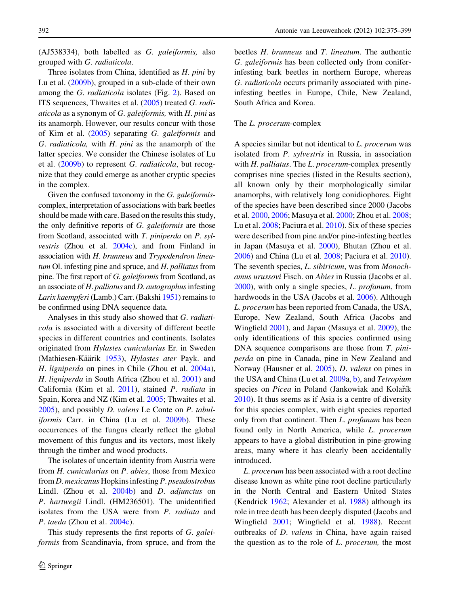(AJ538334), both labelled as G. galeiformis, also grouped with G. radiaticola.

Three isolates from China, identified as *H. pini* by Lu et al. [\(2009b](#page-22-0)), grouped in a sub-clade of their own among the G. radiaticola isolates (Fig. [2](#page-7-0)). Based on ITS sequences, Thwaites et al. [\(2005](#page-23-0)) treated G. radiaticola as a synonym of  $G$ . galeiformis, with  $H$ . pini as its anamorph. However, our results concur with those of Kim et al. ([2005\)](#page-22-0) separating G. galeiformis and G. radiaticola, with  $H$ . pini as the anamorph of the latter species. We consider the Chinese isolates of Lu et al. ([2009b\)](#page-22-0) to represent G. radiaticola, but recognize that they could emerge as another cryptic species in the complex.

Given the confused taxonomy in the G. galeiformiscomplex, interpretation of associations with bark beetles should be made with care. Based on the results this study, the only definitive reports of G. galeiformis are those from Scotland, associated with T. piniperda on P. sylvestris (Zhou et al. [2004c](#page-24-0)), and from Finland in association with H. brunneus and Trypodendron lineatum Ol. infesting pine and spruce, and H. palliatus from pine. The first report of G. galeiformis from Scotland, as an associate of  $H$ . palliatus and  $D$ . autographus infesting Larix kaempferi (Lamb.) Carr. (Bakshi [1951\)](#page-20-0) remains to be confirmed using DNA sequence data.

Analyses in this study also showed that G. radiaticola is associated with a diversity of different beetle species in different countries and continents. Isolates originated from Hylastes cunicularius Er. in Sweden (Mathiesen-Käärik [1953\)](#page-22-0), Hylastes ater Payk. and H. ligniperda on pines in Chile (Zhou et al. [2004a](#page-24-0)), H. ligniperda in South Africa (Zhou et al. [2001](#page-24-0)) and California (Kim et al. [2011\)](#page-22-0), stained P. radiata in Spain, Korea and NZ (Kim et al. [2005;](#page-22-0) Thwaites et al. [2005\)](#page-23-0), and possibly D. valens Le Conte on P. tabul*iformis* Carr. in China (Lu et al. [2009b](#page-22-0)). These occurrences of the fungus clearly reflect the global movement of this fungus and its vectors, most likely through the timber and wood products.

The isolates of uncertain identity from Austria were from H. cunicularius on P. abies, those from Mexico from D. mexicanus Hopkins infesting P. pseudostrobus Lindl. (Zhou et al. [2004b\)](#page-24-0) and D. adjunctus on P. hartwegii Lindl. (HM236501). The unidentified isolates from the USA were from P. radiata and P. taeda (Zhou et al. [2004c\)](#page-24-0).

This study represents the first reports of G. galeiformis from Scandinavia, from spruce, and from the beetles H. brunneus and T. lineatum. The authentic G. galeiformis has been collected only from coniferinfesting bark beetles in northern Europe, whereas G. radiaticola occurs primarily associated with pineinfesting beetles in Europe, Chile, New Zealand, South Africa and Korea.

## The L. procerum-complex

A species similar but not identical to L. procerum was isolated from P. sylvestris in Russia, in association with H. palliatus. The L. procerum-complex presently comprises nine species (listed in the Results section), all known only by their morphologically similar anamorphs, with relatively long conidiophores. Eight of the species have been described since 2000 (Jacobs et al. [2000,](#page-21-0) [2006](#page-21-0); Masuya et al. [2000;](#page-22-0) Zhou et al. [2008](#page-24-0); Lu et al. [2008;](#page-22-0) Paciura et al. [2010\)](#page-23-0). Six of these species were described from pine and/or pine-infesting beetles in Japan (Masuya et al. [2000\)](#page-22-0), Bhutan (Zhou et al. [2006\)](#page-24-0) and China (Lu et al. [2008;](#page-22-0) Paciura et al. [2010](#page-23-0)). The seventh species, L. sibiricum, was from Monochamus urussovi Fisch. on Abies in Russia (Jacobs et al. [2000\)](#page-21-0), with only a single species, L. profanum, from hardwoods in the USA (Jacobs et al. [2006](#page-21-0)). Although L. procerum has been reported from Canada, the USA, Europe, New Zealand, South Africa (Jacobs and Wingfield [2001\)](#page-21-0), and Japan (Masuya et al. [2009](#page-22-0)), the only identifications of this species confirmed using DNA sequence comparisons are those from T. piniperda on pine in Canada, pine in New Zealand and Norway (Hausner et al. [2005\)](#page-21-0), D. valens on pines in the USA and China (Lu et al. [2009a](#page-22-0), [b](#page-22-0)), and Tetropium species on Picea in Poland (Jankowiak and Kolařík [2010\)](#page-22-0). It thus seems as if Asia is a centre of diversity for this species complex, with eight species reported only from that continent. Then L. profanum has been found only in North America, while L. procerum appears to have a global distribution in pine-growing areas, many where it has clearly been accidentally introduced.

L. procerum has been associated with a root decline disease known as white pine root decline particularly in the North Central and Eastern United States (Kendrick [1962](#page-22-0); Alexander et al. [1988](#page-20-0)) although its role in tree death has been deeply disputed (Jacobs and Wingfield [2001;](#page-21-0) Wingfield et al. [1988\)](#page-24-0). Recent outbreaks of D. valens in China, have again raised the question as to the role of L. procerum, the most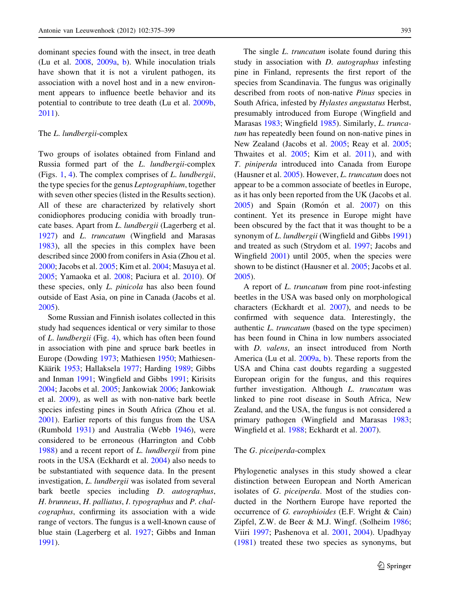dominant species found with the insect, in tree death (Lu et al. [2008](#page-22-0), [2009a](#page-22-0), [b\)](#page-22-0). While inoculation trials have shown that it is not a virulent pathogen, its association with a novel host and in a new environment appears to influence beetle behavior and its potential to contribute to tree death (Lu et al. [2009b,](#page-22-0) [2011\)](#page-22-0).

# The L. lundbergii-complex

Two groups of isolates obtained from Finland and Russia formed part of the L. lundbergii-complex (Figs. [1](#page-5-0), [4](#page-8-0)). The complex comprises of  $L$ . *lundbergii*, the type species for the genus Leptographium, together with seven other species (listed in the Results section). All of these are characterized by relatively short conidiophores producing conidia with broadly truncate bases. Apart from L. lundbergii (Lagerberg et al. [1927\)](#page-22-0) and L. truncatum (Wingfield and Marasas [1983\)](#page-23-0), all the species in this complex have been described since 2000 from conifers in Asia (Zhou et al. [2000;](#page-24-0) Jacobs et al. [2005](#page-21-0); Kim et al. [2004](#page-22-0); Masuya et al. [2005;](#page-22-0) Yamaoka et al. [2008;](#page-24-0) Paciura et al. [2010](#page-23-0)). Of these species, only *L. pinicola* has also been found outside of East Asia, on pine in Canada (Jacobs et al. [2005\)](#page-21-0).

Some Russian and Finnish isolates collected in this study had sequences identical or very similar to those of L. lundbergii (Fig. [4](#page-8-0)), which has often been found in association with pine and spruce bark beetles in Europe (Dowding [1973;](#page-20-0) Mathiesen [1950;](#page-22-0) Mathiesen-Käärik [1953](#page-22-0); Hallaksela [1977;](#page-21-0) Harding [1989](#page-21-0); Gibbs and Inman [1991](#page-21-0); Wingfield and Gibbs [1991;](#page-23-0) Kirisits [2004;](#page-22-0) Jacobs et al. [2005](#page-21-0); Jankowiak [2006](#page-21-0); Jankowiak et al. [2009\)](#page-22-0), as well as with non-native bark beetle species infesting pines in South Africa (Zhou et al. [2001\)](#page-24-0). Earlier reports of this fungus from the USA (Rumbold [1931\)](#page-23-0) and Australia (Webb [1946](#page-23-0)), were considered to be erroneous (Harrington and Cobb [1988\)](#page-21-0) and a recent report of L. lundbergii from pine roots in the USA (Eckhardt et al. [2004](#page-20-0)) also needs to be substantiated with sequence data. In the present investigation, L. lundbergii was isolated from several bark beetle species including D. autographus, H. brunneus, H. palliatus, I. typographus and P. chalcographus, confirming its association with a wide range of vectors. The fungus is a well-known cause of blue stain (Lagerberg et al. [1927;](#page-22-0) Gibbs and Inman [1991\)](#page-21-0).

The single L. truncatum isolate found during this study in association with *D. autographus* infesting pine in Finland, represents the first report of the species from Scandinavia. The fungus was originally described from roots of non-native Pinus species in South Africa, infested by Hylastes angustatus Herbst, presumably introduced from Europe (Wingfield and Marasas [1983;](#page-23-0) Wingfield [1985](#page-23-0)). Similarly, L. truncatum has repeatedly been found on non-native pines in New Zealand (Jacobs et al. [2005;](#page-21-0) Reay et al. [2005](#page-23-0); Thwaites et al. [2005;](#page-23-0) Kim et al. [2011](#page-22-0)), and with T. piniperda introduced into Canada from Europe (Hausner et al. [2005\)](#page-21-0). However, L. truncatum does not appear to be a common associate of beetles in Europe, as it has only been reported from the UK (Jacobs et al.  $2005$ ) and Spain (Romón et al.  $2007$ ) on this continent. Yet its presence in Europe might have been obscured by the fact that it was thought to be a synonym of *L. lundbergii* (Wingfield and Gibbs [1991\)](#page-23-0) and treated as such (Strydom et al. [1997](#page-23-0); Jacobs and Wingfield [2001](#page-21-0)) until 2005, when the species were shown to be distinct (Hausner et al. [2005](#page-21-0); Jacobs et al. [2005\)](#page-21-0).

A report of L. truncatum from pine root-infesting beetles in the USA was based only on morphological characters (Eckhardt et al. [2007](#page-21-0)), and needs to be confirmed with sequence data. Interestingly, the authentic L. truncatum (based on the type specimen) has been found in China in low numbers associated with *D. valens*, an insect introduced from North America (Lu et al. [2009a,](#page-22-0) [b\)](#page-22-0). These reports from the USA and China cast doubts regarding a suggested European origin for the fungus, and this requires further investigation. Although L. truncatum was linked to pine root disease in South Africa, New Zealand, and the USA, the fungus is not considered a primary pathogen (Wingfield and Marasas [1983](#page-23-0); Wingfield et al. [1988](#page-24-0); Eckhardt et al. [2007](#page-21-0)).

#### The G. piceiperda-complex

Phylogenetic analyses in this study showed a clear distinction between European and North American isolates of G. piceiperda. Most of the studies conducted in the Northern Europe have reported the occurrence of G. europhioides (E.F. Wright & Cain) Zipfel, Z.W. de Beer & M.J. Wingf. (Solheim [1986](#page-23-0); Viiri [1997](#page-23-0); Pashenova et al. [2001,](#page-23-0) [2004\)](#page-23-0). Upadhyay [\(1981](#page-23-0)) treated these two species as synonyms, but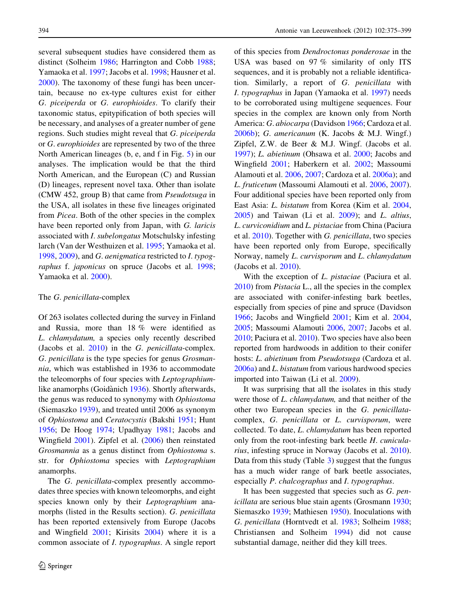several subsequent studies have considered them as distinct (Solheim [1986;](#page-23-0) Harrington and Cobb [1988](#page-21-0); Yamaoka et al. [1997](#page-24-0); Jacobs et al. [1998;](#page-21-0) Hausner et al. [2000\)](#page-21-0). The taxonomy of these fungi has been uncertain, because no ex-type cultures exist for either G. piceiperda or G. europhioides. To clarify their taxonomic status, epitypification of both species will be necessary, and analyses of a greater number of gene regions. Such studies might reveal that G. piceiperda or G. europhioides are represented by two of the three North American lineages (b, e, and f in Fig. [5](#page-9-0)) in our analyses. The implication would be that the third North American, and the European (C) and Russian (D) lineages, represent novel taxa. Other than isolate (CMW 452, group B) that came from Pseudotsuga in the USA, all isolates in these five lineages originated from Picea. Both of the other species in the complex have been reported only from Japan, with G. laricis associated with I. subelongatus Motschulsky infesting larch (Van der Westhuizen et al. [1995](#page-23-0); Yamaoka et al. [1998,](#page-24-0) [2009](#page-24-0)), and G. aenigmatica restricted to I. typographus f. *japonicus* on spruce (Jacobs et al. [1998](#page-21-0); Yamaoka et al. [2000\)](#page-24-0).

## The G. penicillata-complex

Of 263 isolates collected during the survey in Finland and Russia, more than 18 % were identified as L. chlamydatum, a species only recently described (Jacobs et al. [2010\)](#page-21-0) in the G. penicillata-complex. G. penicillata is the type species for genus Grosmannia, which was established in 1936 to accommodate the teleomorphs of four species with Leptographium-like anamorphs (Goidànich [1936\)](#page-21-0). Shortly afterwards, the genus was reduced to synonymy with Ophiostoma (Siemaszko [1939\)](#page-23-0), and treated until 2006 as synonym of Ophiostoma and Ceratocystis (Bakshi [1951](#page-20-0); Hunt [1956;](#page-21-0) De Hoog [1974;](#page-20-0) Upadhyay [1981](#page-23-0); Jacobs and Wingfield [2001](#page-21-0)). Zipfel et al. [\(2006](#page-24-0)) then reinstated Grosmannia as a genus distinct from Ophiostoma s. str. for Ophiostoma species with Leptographium anamorphs.

The G. penicillata-complex presently accommodates three species with known teleomorphs, and eight species known only by their *Leptographium* anamorphs (listed in the Results section). G. penicillata has been reported extensively from Europe (Jacobs and Wingfield [2001](#page-21-0); Kirisits [2004\)](#page-22-0) where it is a common associate of I. typographus. A single report of this species from Dendroctonus ponderosae in the USA was based on 97 % similarity of only ITS sequences, and it is probably not a reliable identification. Similarly, a report of G. penicillata with I. typographus in Japan (Yamaoka et al. [1997](#page-24-0)) needs to be corroborated using multigene sequences. Four species in the complex are known only from North America: G. abiocarpa (Davidson [1966;](#page-20-0) Cardoza et al. [2006b\)](#page-20-0); G. americanum (K. Jacobs & M.J. Wingf.) Zipfel, Z.W. de Beer & M.J. Wingf. (Jacobs et al. [1997\)](#page-21-0); L. abietinum (Ohsawa et al. [2000](#page-23-0); Jacobs and Wingfield [2001;](#page-21-0) Haberkern et al. [2002](#page-21-0); Massoumi Alamouti et al. [2006](#page-22-0), [2007](#page-22-0); Cardoza et al. [2006a\)](#page-20-0); and L. fruticetum (Massoumi Alamouti et al. [2006](#page-22-0), [2007](#page-22-0)). Four additional species have been reported only from East Asia: L. bistatum from Korea (Kim et al. [2004,](#page-22-0) [2005\)](#page-22-0) and Taiwan (Li et al. [2009\)](#page-22-0); and L. altius, L. curviconidium and L. pistaciae from China (Paciura et al. [2010\)](#page-23-0). Together with G. penicillata, two species have been reported only from Europe, specifically Norway, namely L. curvisporum and L. chlamydatum (Jacobs et al. [2010](#page-21-0)).

With the exception of *L. pistaciae* (Paciura et al. [2010\)](#page-23-0) from Pistacia L., all the species in the complex are associated with conifer-infesting bark beetles, especially from species of pine and spruce (Davidson [1966;](#page-20-0) Jacobs and Wingfield [2001](#page-21-0); Kim et al. [2004,](#page-22-0) [2005;](#page-22-0) Massoumi Alamouti [2006](#page-22-0), [2007](#page-22-0); Jacobs et al. [2010;](#page-21-0) Paciura et al. [2010\)](#page-23-0). Two species have also been reported from hardwoods in addition to their conifer hosts: L. abietinum from Pseudotsuga (Cardoza et al. [2006a](#page-20-0)) and L. bistatum from various hardwood species imported into Taiwan (Li et al. [2009\)](#page-22-0).

It was surprising that all the isolates in this study were those of L. chlamydatum, and that neither of the other two European species in the G. penicillatacomplex, G. penicillata or L. curvisporum, were collected. To date, L. chlamydatum has been reported only from the root-infesting bark beetle H. cunicularius, infesting spruce in Norway (Jacobs et al. [2010](#page-21-0)). Data from this study (Table [3](#page-11-0)) suggest that the fungus has a much wider range of bark beetle associates, especially P. chalcographus and I. typographus.

It has been suggested that species such as G. penicillata are serious blue stain agents (Grosmann [1930;](#page-21-0) Siemaszko [1939](#page-23-0); Mathiesen [1950](#page-22-0)). Inoculations with G. penicillata (Horntvedt et al. [1983;](#page-21-0) Solheim [1988](#page-23-0); Christiansen and Solheim [1994\)](#page-20-0) did not cause substantial damage, neither did they kill trees.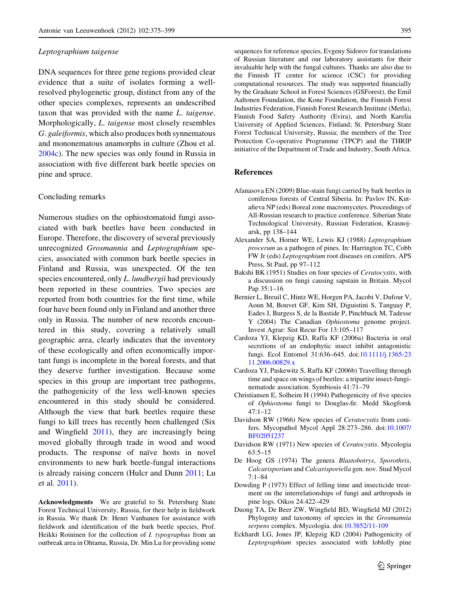#### <span id="page-20-0"></span>Leptographium taigense

DNA sequences for three gene regions provided clear evidence that a suite of isolates forming a wellresolved phylogenetic group, distinct from any of the other species complexes, represents an undescribed taxon that was provided with the name L. taigense. Morphologically, L. taigense most closely resembles G. galeiformis, which also produces both synnematous and mononematous anamorphs in culture (Zhou et al. [2004c](#page-24-0)). The new species was only found in Russia in association with five different bark beetle species on pine and spruce.

#### Concluding remarks

Numerous studies on the ophiostomatoid fungi associated with bark beetles have been conducted in Europe. Therefore, the discovery of several previously unrecognized Grosmannia and Leptographium species, associated with common bark beetle species in Finland and Russia, was unexpected. Of the ten species encountered, only L. lundbergii had previously been reported in these countries. Two species are reported from both countries for the first time, while four have been found only in Finland and another three only in Russia. The number of new records encountered in this study, covering a relatively small geographic area, clearly indicates that the inventory of these ecologically and often economically important fungi is incomplete in the boreal forests, and that they deserve further investigation. Because some species in this group are important tree pathogens, the pathogenicity of the less well-known species encountered in this study should be considered. Although the view that bark beetles require these fungi to kill trees has recently been challenged (Six and Wingfield [2011\)](#page-23-0), they are increasingly being moved globally through trade in wood and wood products. The response of naïve hosts in novel environments to new bark beetle-fungal interactions is already raising concern (Hulcr and Dunn [2011](#page-21-0); Lu et al. [2011](#page-22-0)).

Acknowledgments We are grateful to St. Petersburg State Forest Technical University, Russia, for their help in fieldwork in Russia. We thank Dr. Henri Vanhanen for assistance with fieldwork and identification of the bark beetle species, Prof. Heikki Roininen for the collection of I. typographus from an outbreak area in Ohtama, Russia, Dr. Min Lu for providing some sequences for reference species, Evgeny Sidorov for translations of Russian literature and our laboratory assistants for their invaluable help with the fungal cultures. Thanks are also due to the Finnish IT center for science (CSC) for providing computational resources. The study was supported financially by the Graduate School in Forest Sciences (GSForest), the Emil Aaltonen Foundation, the Kone Foundation, the Finnish Forest Industries Federation, Finnish Forest Research Institute (Metla), Finnish Food Safety Authority (Evira), and North Karelia University of Applied Sciences, Finland; St. Petersburg State Forest Technical University, Russia; the members of the Tree Protection Co-operative Programme (TPCP) and the THRIP initiative of the Department of Trade and Industry, South Africa.

## References

- Afanasova EN (2009) Blue-stain fungi carried by bark beetles in coniferous forests of Central Siberia. In: Pavlov IN, Kutafieva NP (eds) Boreal zone macromycetes. Proceedings of All-Russian research to practice conference. Siberian State Technological University, Russian Federation, Krasnojarsk, pp 138–144
- Alexander SA, Horner WE, Lewis KJ (1988) Leptographium procerum as a pathogen of pines. In: Harrington TC, Cobb FW Jr (eds) Leptographium root diseases on conifers. APS Press, St Paul, pp 97–112
- Bakshi BK (1951) Studies on four species of Ceratocystis, with a discussion on fungi causing sapstain in Britain. Mycol Pap 35:1–16
- Bernier L, Breuil C, Hintz WE, Horgen PA, Jacobi V, Dufour V, Aoun M, Bouvet GF, Kim SH, Diguistini S, Tanguay P, Eades J, Burgess S, de la Bastide P, Pinchback M, Tadesse Y (2004) The Canadian Ophiostoma genome project. Invest Agrar: Sist Recur For 13:105–117
- Cardoza YJ, Klepzig KD, Raffa KF (2006a) Bacteria in oral secretions of an endophytic insect inhibit antagonistic fungi. Ecol Entomol 31:636–645. doi:[10.1111/j.1365-23](http://dx.doi.org/10.1111/j.1365-2311.2006.00829.x) [11.2006.00829.x](http://dx.doi.org/10.1111/j.1365-2311.2006.00829.x)
- Cardoza YJ, Paskewitz S, Raffa KF (2006b) Travelling through time and space on wings of beetles: a tripartite insect-funginematode association. Symbiosis 41:71–79
- Christiansen E, Solheim H (1994) Pathogenicity of five species of Ophiostoma fungi to Douglas-fir. Medd Skogforsk 47:1–12
- Davidson RW (1966) New species of Ceratocystis from conifers. Mycopathol Mycol Appl 28:273–286. doi[:10.1007/](http://dx.doi.org/10.1007/BF02051237) [BF02051237](http://dx.doi.org/10.1007/BF02051237)
- Davidson RW (1971) New species of Ceratocystis. Mycologia 63:5–15
- De Hoog GS (1974) The genera Blastobotrys, Sporothrix, Calcarisporium and Calcarisporiella gen. nov. Stud Mycol 7:1–84
- Dowding P (1973) Effect of felling time and insecticide treatment on the interrelationships of fungi and arthropods in pine logs. Oikos 24:422–429
- Duong TA, De Beer ZW, Wingfield BD, Wingfield MJ (2012) Phylogeny and taxonomy of species in the Grosmannia serpens complex. Mycologia. doi[:10.3852/11-109](http://dx.doi.org/10.3852/11-109)
- Eckhardt LG, Jones JP, Klepzig KD (2004) Pathogenicity of Leptographium species associated with loblolly pine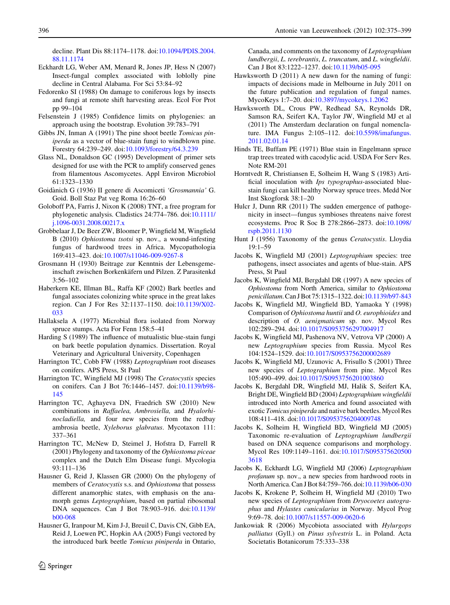<span id="page-21-0"></span>decline. Plant Dis 88:1174–1178. doi:[10.1094/PDIS.2004.](http://dx.doi.org/10.1094/PDIS.2004.88.11.1174) [88.11.1174](http://dx.doi.org/10.1094/PDIS.2004.88.11.1174)

- Eckhardt LG, Weber AM, Menard R, Jones JP, Hess N (2007) Insect-fungal complex associated with loblolly pine decline in Central Alabama. For Sci 53:84–92
- Fedorenko SI (1988) On damage to coniferous logs by insects and fungi at remote shift harvesting areas. Ecol For Prot pp 99–104
- Felsenstein J (1985) Confidence limits on phylogenies: an approach using the bootstrap. Evolution 39:783–791
- Gibbs JN, Inman A (1991) The pine shoot beetle Tomicus piniperda as a vector of blue-stain fungi to windblown pine. Forestry 64:239–249. doi:[10.1093/forestry/64.3.239](http://dx.doi.org/10.1093/forestry/64.3.239)
- Glass NL, Donaldson GC (1995) Development of primer sets designed for use with the PCR to amplify conserved genes from filamentous Ascomycetes. Appl Environ Microbiol 61:1323–1330
- Goida`nich G (1936) II genere di Ascomiceti 'Grosmannia' G. Goid. Boll Staz Pat veg Roma 16:26–60
- Goloboff PA, Farris J, Nixon K (2008) TNT, a free program for phylogenetic analysis. Cladistics 24:774–786. doi:[10.1111/](http://dx.doi.org/10.1111/j.1096-0031.2008.00217.x) [j.1096-0031.2008.00217.x](http://dx.doi.org/10.1111/j.1096-0031.2008.00217.x)
- Grobbelaar J, De Beer ZW, Bloomer P, Wingfield M, Wingfield B (2010) Ophiostoma tsotsi sp. nov., a wound-infesting fungus of hardwood trees in Africa. Mycopathologia 169:413–423. doi[:10.1007/s11046-009-9267-8](http://dx.doi.org/10.1007/s11046-009-9267-8)
- Grosmann H (1930) Beitrage zur Kenntnis der Lebensgemeinschaft zwischen Borkenkäfern und Pilzen. Z Parasitenkd 3:56–102
- Haberkern KE, Illman BL, Raffa KF (2002) Bark beetles and fungal associates colonizing white spruce in the great lakes region. Can J For Res 32:1137–1150. doi:[10.1139/X02-](http://dx.doi.org/10.1139/X02-033) [033](http://dx.doi.org/10.1139/X02-033)
- Hallaksela A (1977) Microbial flora isolated from Norway spruce stumps. Acta For Fenn 158:5–41
- Harding S (1989) The influence of mutualistic blue-stain fungi on bark beetle population dynamics. Dissertation. Royal Veterinary and Agricultural University, Copenhagen
- Harrington TC, Cobb FW (1988) Leptographium root diseases on conifers. APS Press, St Paul
- Harrington TC, Wingfield MJ (1998) The Ceratocystis species on conifers. Can J Bot 76:1446–1457. doi:[10.1139/b98-](http://dx.doi.org/10.1139/b98-145) [145](http://dx.doi.org/10.1139/b98-145)
- Harrington TC, Aghayeva DN, Fraedrich SW (2010) New combinations in Raffaelea, Ambrosiella, and Hyalorhinocladiella, and four new species from the redbay ambrosia beetle, Xyleborus glabratus. Mycotaxon 111: 337–361
- Harrington TC, McNew D, Steimel J, Hofstra D, Farrell R (2001) Phylogeny and taxonomy of the Ophiostoma piceae complex and the Dutch Elm Disease fungi. Mycologia 93:111–136
- Hausner G, Reid J, Klassen GR (2000) On the phylogeny of members of Ceratocystis s.s. and Ophiostoma that possess different anamorphic states, with emphasis on the anamorph genus Leptographium, based on partial ribosomal DNA sequences. Can J Bot 78:903–916. doi[:10.1139/](http://dx.doi.org/10.1139/b00-068) [b00-068](http://dx.doi.org/10.1139/b00-068)
- Hausner G, Iranpour M, Kim J-J, Breuil C, Davis CN, Gibb EA, Reid J, Loewen PC, Hopkin AA (2005) Fungi vectored by the introduced bark beetle Tomicus piniperda in Ontario,

 $\circledcirc$  Springer

Canada, and comments on the taxonomy of Leptographium lundbergii, L. terebrantis, L. truncatum, and L. wingfieldii. Can J Bot 83:1222–1237. doi:[10.1139/b05-095](http://dx.doi.org/10.1139/b05-095)

- Hawksworth D (2011) A new dawn for the naming of fungi: impacts of decisions made in Melbourne in July 2011 on the future publication and regulation of fungal names. MycoKeys 1:7–20. doi:[10.3897/mycokeys.1.2062](http://dx.doi.org/10.3897/mycokeys.1.2062)
- Hawksworth DL, Crous PW, Redhead SA, Reynolds DR, Samson RA, Seifert KA, Taylor JW, Wingfield MJ et al (2011) The Amsterdam declaration on fungal nomenclature. IMA Fungus 2:105–112. doi[:10.5598/imafungus.](http://dx.doi.org/10.5598/imafungus.2011.02.01.14) [2011.02.01.14](http://dx.doi.org/10.5598/imafungus.2011.02.01.14)
- Hinds TE, Buffam PE (1971) Blue stain in Engelmann spruce trap trees treated with cacodylic acid. USDA For Serv Res. Note RM-201
- Horntvedt R, Christiansen E, Solheim H, Wang S (1983) Artificial inoculation with Ips typographus-associated bluestain fungi can kill healthy Norway spruce trees. Medd Nor Inst Skogforsk 38:1–20
- Hulcr J, Dunn RR (2011) The sudden emergence of pathogenicity in insect—fungus symbioses threatens naive forest ecosystems. Proc R Soc B 278:2866–2873. doi[:10.1098/](http://dx.doi.org/10.1098/rspb.2011.1130) [rspb.2011.1130](http://dx.doi.org/10.1098/rspb.2011.1130)
- Hunt J (1956) Taxonomy of the genus Ceratocystis. Lloydia 19:1–59
- Jacobs K, Wingfield MJ (2001) Leptographium species: tree pathogens, insect associates and agents of blue-stain. APS Press, St Paul
- Jacobs K, Wingfield MJ, Bergdahl DR (1997) A new species of Ophiostoma from North America, similar to Ophiostoma penicillatum. Can J Bot 75:1315–1322. doi[:10.1139/b97-843](http://dx.doi.org/10.1139/b97-843)
- Jacobs K, Wingfield MJ, Wingfield BD, Yamaoka Y (1998) Comparison of Ophiostoma huntii and O. europhioides and description of O. aenigmaticum sp. nov. Mycol Res 102:289–294. doi[:10.1017/S0953756297004917](http://dx.doi.org/10.1017/S0953756297004917)
- Jacobs K, Wingfield MJ, Pashenova NV, Vetrova VP (2000) A new Leptographium species from Russia. Mycol Res 104:1524–1529. doi:[10.1017/S0953756200002689](http://dx.doi.org/10.1017/S0953756200002689)
- Jacobs K, Wingfield MJ, Uzunovic A, Frisullo S (2001) Three new species of Leptographium from pine. Mycol Res 105:490–499. doi[:10.1017/S0953756201003860](http://dx.doi.org/10.1017/S0953756201003860)
- Jacobs K, Bergdahl DR, Wingfield MJ, Halik S, Seifert KA, Bright DE, Wingfield BD (2004) Leptographium wingfieldii introduced into North America and found associated with exotic Tomicus piniperda and native bark beetles. Mycol Res 108:411–418. doi:[10.1017/S0953756204009748](http://dx.doi.org/10.1017/S0953756204009748)
- Jacobs K, Solheim H, Wingfield BD, Wingfield MJ (2005) Taxonomic re-evaluation of Leptographium lundbergii based on DNA sequence comparisons and morphology. Mycol Res 109:1149–1161. doi:[10.1017/S095375620500](http://dx.doi.org/10.1017/S0953756205003618) [3618](http://dx.doi.org/10.1017/S0953756205003618)
- Jacobs K, Eckhardt LG, Wingfield MJ (2006) Leptographium profanum sp. nov., a new species from hardwood roots in North America. Can J Bot 84:759–766. doi[:10.1139/b06-030](http://dx.doi.org/10.1139/b06-030)
- Jacobs K, Krokene P, Solheim H, Wingfield MJ (2010) Two new species of *Leptographium* from *Dryocoetes autogra*phus and Hylastes cunicularius in Norway. Mycol Prog 9:69–78. doi[:10.1007/s11557-009-0620-6](http://dx.doi.org/10.1007/s11557-009-0620-6)
- Jankowiak R (2006) Mycobiota associated with Hylurgops palliatus (Gyll.) on Pinus sylvestris L. in Poland. Acta Societatis Botanicorum 75:333–338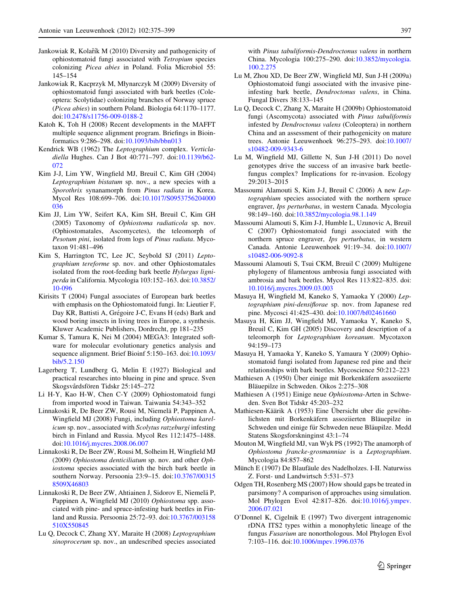- <span id="page-22-0"></span>Jankowiak R, Kolařík M (2010) Diversity and pathogenicity of ophiostomatoid fungi associated with Tetropium species colonizing Picea abies in Poland. Folia Microbiol 55: 145–154
- Jankowiak R, Kacprzyk M, Młynarczyk M (2009) Diversity of ophiostomatoid fungi associated with bark beetles (Coleoptera: Scolytidae) colonizing branches of Norway spruce (Picea abies) in southern Poland. Biologia 64:1170–1177. doi[:10.2478/s11756-009-0188-2](http://dx.doi.org/10.2478/s11756-009-0188-2)
- Katoh K, Toh H (2008) Recent developments in the MAFFT multiple sequence alignment program. Briefings in Bioinformatics 9:286–298. doi[:10.1093/bib/bbn013](http://dx.doi.org/10.1093/bib/bbn013)
- Kendrick WB (1962) The Leptographium complex. Verticladiella Hughes. Can J Bot 40:771–797. doi:[10.1139/b62-](http://dx.doi.org/10.1139/b62-072) [072](http://dx.doi.org/10.1139/b62-072)
- Kim J-J, Lim YW, Wingfield MJ, Breuil C, Kim GH (2004) Leptographium bistatum sp. nov., a new species with a Sporothrix synanamorph from Pinus radiata in Korea. Mycol Res 108:699–706. doi:[10.1017/S0953756204000](http://dx.doi.org/10.1017/S0953756204000036) [036](http://dx.doi.org/10.1017/S0953756204000036)
- Kim JJ, Lim YW, Seifert KA, Kim SH, Breuil C, Kim GH (2005) Taxonomy of Ophiostoma radiaticola sp. nov. (Ophiostomatales, Ascomycetes), the teleomorph of Pesotum pini, isolated from logs of Pinus radiata. Mycotaxon 91:481–496
- Kim S, Harrington TC, Lee JC, Seybold SJ (2011) Leptographium tereforme sp. nov. and other Ophiostomatales isolated from the root-feeding bark beetle Hylurgus ligniperda in California. Mycologia 103:152–163. doi[:10.3852/](http://dx.doi.org/10.3852/10-096) [10-096](http://dx.doi.org/10.3852/10-096)
- Kirisits T (2004) Fungal associates of European bark beetles with emphasis on the Ophiostomatoid fungi. In: Lieutier F, Day KR, Battisti A, Grégoire J-C, Evans H (eds) Bark and wood boring insects in living trees in Europe, a synthesis. Kluwer Academic Publishers, Dordrecht, pp 181–235
- Kumar S, Tamura K, Nei M (2004) MEGA3: Integrated software for molecular evolutionary genetics analysis and sequence alignment. Brief Bioinf 5:150–163. doi[:10.1093/](http://dx.doi.org/10.1093/bib/5.2.150) [bib/5.2.150](http://dx.doi.org/10.1093/bib/5.2.150)
- Lagerberg T, Lundberg G, Melin E (1927) Biological and practical researches into blueing in pine and spruce. Sven Skogsvårdsfören Tidskr 25:145–272
- Li H-Y, Kao H-W, Chen C-Y (2009) Ophiostomatoid fungi from imported wood in Taiwan. Taiwania 54:343–352
- Linnakoski R, De Beer ZW, Rousi M, Niemelä P, Pappinen A, Wingfield MJ (2008) Fungi, including Ophiostoma karelicum sp. nov., associated with Scolytus ratzeburgi infesting birch in Finland and Russia. Mycol Res 112:1475–1488. doi[:10.1016/j.mycres.2008.06.007](http://dx.doi.org/10.1016/j.mycres.2008.06.007)
- Linnakoski R, De Beer ZW, Rousi M, Solheim H, Wingfield MJ (2009) Ophiostoma denticiliatum sp. nov. and other Ophiostoma species associated with the birch bark beetle in southern Norway. Persoonia 23:9–15. doi[:10.3767/00315](http://dx.doi.org/10.3767/003158509X46803) [8509X46803](http://dx.doi.org/10.3767/003158509X46803)
- Linnakoski R, De Beer ZW, Ahtiainen J, Sidorov E, Niemelä P, Pappinen A, Wingfield MJ (2010) Ophiostoma spp. associated with pine- and spruce-infesting bark beetles in Finland and Russia. Persoonia 25:72–93. doi:[10.3767/003158](http://dx.doi.org/10.3767/003158510X550845) [510X550845](http://dx.doi.org/10.3767/003158510X550845)
- Lu Q, Decock C, Zhang XY, Maraite H (2008) Leptographium sinoprocerum sp. nov., an undescribed species associated

with Pinus tabuliformis-Dendroctonus valens in northern China. Mycologia 100:275–290. doi[:10.3852/mycologia.](http://dx.doi.org/10.3852/mycologia.100.2.275) [100.2.275](http://dx.doi.org/10.3852/mycologia.100.2.275)

- Lu M, Zhou XD, De Beer ZW, Wingfield MJ, Sun J-H (2009a) Ophiostomatoid fungi associated with the invasive pineinfesting bark beetle, Dendroctonus valens, in China. Fungal Divers 38:133–145
- Lu Q, Decock C, Zhang X, Maraite H (2009b) Ophiostomatoid fungi (Ascomycota) associated with Pinus tabuliformis infested by Dendroctonus valens (Coleoptera) in northern China and an assessment of their pathogenicity on mature trees. Antonie Leeuwenhoek 96:275–293. doi[:10.1007/](http://dx.doi.org/10.1007/s10482-009-9343-6) [s10482-009-9343-6](http://dx.doi.org/10.1007/s10482-009-9343-6)
- Lu M, Wingfield MJ, Gillette N, Sun J-H (2011) Do novel genotypes drive the success of an invasive bark beetlefungus complex? Implications for re-invasion. Ecology 29:2013–2015
- Massoumi Alamouti S, Kim J-J, Breuil C (2006) A new Leptographium species associated with the northern spruce engraver, Ips perturbatus, in western Canada. Mycologia 98:149–160. doi[:10.3852/mycologia.98.1.149](http://dx.doi.org/10.3852/mycologia.98.1.149)
- Massoumi Alamouti S, Kim J-J, Humble L, Uzunovic A, Breuil C (2007) Ophiostomatoid fungi associated with the northern spruce engraver, Ips perturbatus, in western Canada. Antonie Leeuwenhoek 91:19–34. doi[:10.1007/](http://dx.doi.org/10.1007/s10482-006-9092-8) [s10482-006-9092-8](http://dx.doi.org/10.1007/s10482-006-9092-8)
- Massoumi Alamouti S, Tsui CKM, Breuil C (2009) Multigene phylogeny of filamentous ambrosia fungi associated with ambrosia and bark beetles. Mycol Res 113:822–835. doi: [10.1016/j.mycres.2009.03.003](http://dx.doi.org/10.1016/j.mycres.2009.03.003)
- Masuya H, Wingfield M, Kaneko S, Yamaoka Y (2000) Leptographium pini-densiflorae sp. nov. from Japanese red pine. Mycosci 41:425–430. doi:[10.1007/bf02461660](http://dx.doi.org/10.1007/bf02461660)
- Masuya H, Kim JJ, Wingfield MJ, Yamaoka Y, Kaneko S, Breuil C, Kim GH (2005) Discovery and description of a teleomorph for Leptographium koreanum. Mycotaxon 94:159–173
- Masuya H, Yamaoka Y, Kaneko S, Yamaura Y (2009) Ophiostomatoid fungi isolated from Japanese red pine and their relationships with bark beetles. Mycoscience 50:212–223
- Mathiesen A (1950) Uber einige mit Borkenkäfern assoziierte Bläuepilze in Schweden. Oikos 2:275–308
- Mathiesen A (1951) Einige neue Ophiostoma-Arten in Schweden. Sven Bot Tidskr 45:203–232
- Mathiesen-Käärik A (1953) Eine Übersicht uber die gewöhnlichsten mit Borkenkäfern assoziierten Bläuepilze in Schweden und einige für Schweden neue Bläupilze. Medd Statens Skogsforskninginst 43:1–74
- Mouton M, Wingfield MJ, van Wyk PS (1992) The anamorph of Ophiostoma francke-grosmanniae is a Leptographium. Mycologia 84:857–862
- Münch E (1907) De Blaufäule des Nadelholzes. I-II. Naturwiss Z. Forst- und Landwirtsch 5:531–573
- Odgen TH, Rosenberg MS (2007) How should gaps be treated in parsimony? A comparison of approaches using simulation. Mol Phylogen Evol 42:817–826. doi:[10.1016/j.ympev.](http://dx.doi.org/10.1016/j.ympev.2006.07.021) [2006.07.021](http://dx.doi.org/10.1016/j.ympev.2006.07.021)
- O'Donnel K, Cigelnik E (1997) Two divergent intragenomic rDNA ITS2 types within a monophyletic lineage of the fungus Fusarium are nonorthologous. Mol Phylogen Evol 7:103–116. doi:[10.1006/mpev.1996.0376](http://dx.doi.org/10.1006/mpev.1996.0376)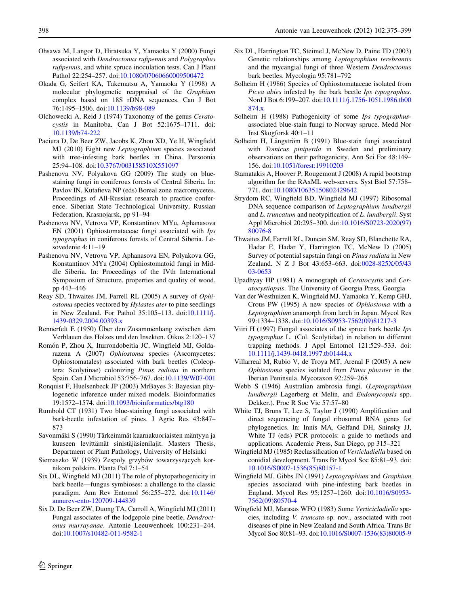- <span id="page-23-0"></span>Ohsawa M, Langor D, Hiratsuka Y, Yamaoka Y (2000) Fungi associated with Dendroctonus rufipennis and Polygraphus rufipennis, and white spruce inoculation tests. Can J Plant Pathol 22:254–257. doi[:10.1080/07060660009500472](http://dx.doi.org/10.1080/07060660009500472)
- Okada G, Seifert KA, Takematsu A, Yamaoka Y (1998) A molecular phylogenetic reappraisal of the Graphium complex based on 18S rDNA sequences. Can J Bot 76:1495–1506. doi[:10.1139/b98-089](http://dx.doi.org/10.1139/b98-089)
- Olchowecki A, Reid J (1974) Taxonomy of the genus Ceratocystis in Manitoba. Can J Bot 52:1675–1711. doi: [10.1139/b74-222](http://dx.doi.org/10.1139/b74-222)
- Paciura D, De Beer ZW, Jacobs K, Zhou XD, Ye H, Wingfield MJ (2010) Eight new Leptographium species associated with tree-infesting bark beetles in China. Persoonia 25:94–108. doi:[10.3767/003158510X551097](http://dx.doi.org/10.3767/003158510X551097)
- Pashenova NV, Polyakova GG (2009) The study on bluestaining fungi in coniferous forests of Central Siberia. In: Pavlov IN, Kutafieva NP (eds) Boreal zone macromycetes. Proceedings of All-Russian research to practice conference. Siberian State Technological University, Russian Federation, Krasnojarsk, pp 91–94
- Pashenova NV, Vetrova VP, Konstantinov MYu, Aphanasova EN (2001) Ophiostomataceae fungi associated with Ips typographus in coniferous forests of Central Siberia. Lesovedenie 4:11–19
- Pashenova NV, Vetrova VP, Aphanasova EN, Polyakova GG, Konstantinov MYu (2004) Ophiostomatoid fungi in Middle Siberia. In: Proceedings of the IVth International Symposium of Structure, properties and quality of wood, pp 443–446
- Reay SD, Thwaites JM, Farrell RL (2005) A survey of Ophiostoma species vectored by Hylastes ater to pine seedlings in New Zealand. For Pathol 35:105–113. doi:[10.1111/j.](http://dx.doi.org/10.1111/j.1439-0329.2004.00393.x) [1439-0329.2004.00393.x](http://dx.doi.org/10.1111/j.1439-0329.2004.00393.x)
- Rennerfelt E (1950) Über den Zusammenhang zwischen dem Verblauen des Holzes und den Insekten. Oikos 2:120–137
- Romón P, Zhou X, Iturrondobeitia JC, Wingfield MJ, Goldarazena A (2007) Ophiostoma species (Ascomycetes: Ophiostomatales) associated with bark beetles (Coleoptera: Scolytinae) colonizing Pinus radiata in northern Spain. Can J Microbiol 53:756–767. doi[:10.1139/W07-001](http://dx.doi.org/10.1139/W07-001)
- Ronquist F, Huelsenbeck JP (2003) MrBayes 3: Bayesian phylogenetic inference under mixed models. Bioinformatics 19:1572–1574. doi[:10.1093/bioinformatics/btg180](http://dx.doi.org/10.1093/bioinformatics/btg180)
- Rumbold CT (1931) Two blue-staining fungi associated with bark-beetle infestation of pines. J Agric Res 43:847– 873
- Savonmäki S (1990) Tärkeimmät kaarnakuoriaisten mäntyyn ja kuuseen levittämät sinistäjäsienilajit. Masters Thesis, Department of Plant Pathology, University of Helsinki
- Siemaszko W (1939) Zespoly grzybów towarzyszących kornikom polskim. Planta Pol 7:1–54
- Six DL, Wingfield MJ (2011) The role of phytopathogenicity in bark beetle—fungus symbioses: a challenge to the classic paradigm. Ann Rev Entomol 56:255–272. doi[:10.1146/](http://dx.doi.org/10.1146/annurev-ento-120709-144839) [annurev-ento-120709-144839](http://dx.doi.org/10.1146/annurev-ento-120709-144839)
- Six D, De Beer ZW, Duong TA, Carroll A, Wingfield MJ (2011) Fungal associates of the lodgepole pine beetle, Dendroctonus murrayanae. Antonie Leeuwenhoek 100:231–244. doi[:10.1007/s10482-011-9582-1](http://dx.doi.org/10.1007/s10482-011-9582-1)
- Six DL, Harrington TC, Steimel J, McNew D, Paine TD (2003) Genetic relationships among Leptographium terebrantis and the mycangial fungi of three Western Dendroctonus bark beetles. Mycologia 95:781–792
- Solheim H (1986) Species of Ophiostomataceae isolated from Picea abies infested by the bark beetle Ips typographus. Nord J Bot 6:199–207. doi:[10.1111/j.1756-1051.1986.tb00](http://dx.doi.org/10.1111/j.1756-1051.1986.tb00874.x) [874.x](http://dx.doi.org/10.1111/j.1756-1051.1986.tb00874.x)
- Solheim H (1988) Pathogenicity of some Ips typographusassociated blue-stain fungi to Norway spruce. Medd Nor Inst Skogforsk 40:1–11
- Solheim H, Långström B (1991) Blue-stain fungi associated with Tomicus piniperda in Sweden and preliminary observations on their pathogenicity. Ann Sci For 48:149– 156. doi[:10.1051/forest:19910203](http://dx.doi.org/10.1051/forest:19910203)
- Stamatakis A, Hoover P, Rougemont J (2008) A rapid bootstrap algorithm for the RAxML web-servers. Syst Biol 57:758– 771. doi[:10.1080/10635150802429642](http://dx.doi.org/10.1080/10635150802429642)
- Strydom RC, Wingfield BD, Wingfield MJ (1997) Ribosomal DNA sequence comparison of Leptographium lundbergii and L. truncatum and neotypification of L. lundbergii. Syst Appl Microbiol 20:295–300. doi:[10.1016/S0723-2020\(97\)](http://dx.doi.org/10.1016/S0723-2020(97)80076-8) [80076-8](http://dx.doi.org/10.1016/S0723-2020(97)80076-8)
- Thwaites JM, Farrell RL, Duncan SM, Reay SD, Blanchette RA, Hadar E, Hadar Y, Harrington TC, McNew D (2005) Survey of potential sapstain fungi on Pinus radiata in New Zealand. N Z J Bot 43:653–663. doi[:0028-825X/05/43](http://dx.doi.org/0028-825X/05/4303-0653) [03-0653](http://dx.doi.org/0028-825X/05/4303-0653)
- Upadhyay HP (1981) A monograph of Ceratocystis and Ceratocystiopsis. The University of Georgia Press, Georgia
- Van der Westhuizen K, Wingfield MJ, Yamaoka Y, Kemp GHJ, Crous PW (1995) A new species of Ophiostoma with a Leptographium anamorph from larch in Japan. Mycol Res 99:1334–1338. doi:[10.1016/S0953-7562\(09\)81217-3](http://dx.doi.org/10.1016/S0953-7562(09)81217-3)
- Viiri H (1997) Fungal associates of the spruce bark beetle Ips typographus L. (Col. Scolytidae) in relation to different trapping methods. J Appl Entomol 121:529–533. doi: [10.1111/j.1439-0418.1997.tb01444.x](http://dx.doi.org/10.1111/j.1439-0418.1997.tb01444.x)
- Villarreal M, Rubio V, de Troya MT, Arenal F (2005) A new Ophiostoma species isolated from Pinus pinaster in the Iberian Peninsula. Mycotaxon 92:259–268
- Webb S (1946) Australian ambrosia fungi. (Leptographium lundbergii Lagerberg et Melin, and Endomycopsis spp. Dekker.). Proc R Soc Vic 57:57–80
- White TJ, Bruns T, Lee S, Taylor J (1990) Amplification and direct sequencing of fungal ribosomal RNA genes for phylogenetics. In: Innis MA, Gelfand DH, Sninsky JJ, White TJ (eds) PCR protocols: a guide to methods and applications. Academic Press, San Diego, pp 315–321
- Wingfield MJ (1985) Reclassification of Verticladiella based on conidial development. Trans Br Mycol Soc 85:81–93. doi: [10.1016/S0007-1536\(85\)80157-1](http://dx.doi.org/10.1016/S0007-1536(85)80157-1)
- Wingfield MJ, Gibbs JN (1991) Leptographium and Graphium species associated with pine-infesting bark beetles in England. Mycol Res 95:1257–1260. doi:[10.1016/S0953-](http://dx.doi.org/10.1016/S0953-7562(09)80570-4) [7562\(09\)80570-4](http://dx.doi.org/10.1016/S0953-7562(09)80570-4)
- Wingfield MJ, Marasas WFO (1983) Some Verticicladiella species, including V. truncata sp. nov., associated with root diseases of pine in New Zealand and South Africa. Trans Br Mycol Soc 80:81–93. doi[:10.1016/S0007-1536\(83\)80005-9](http://dx.doi.org/10.1016/S0007-1536(83)80005-9)